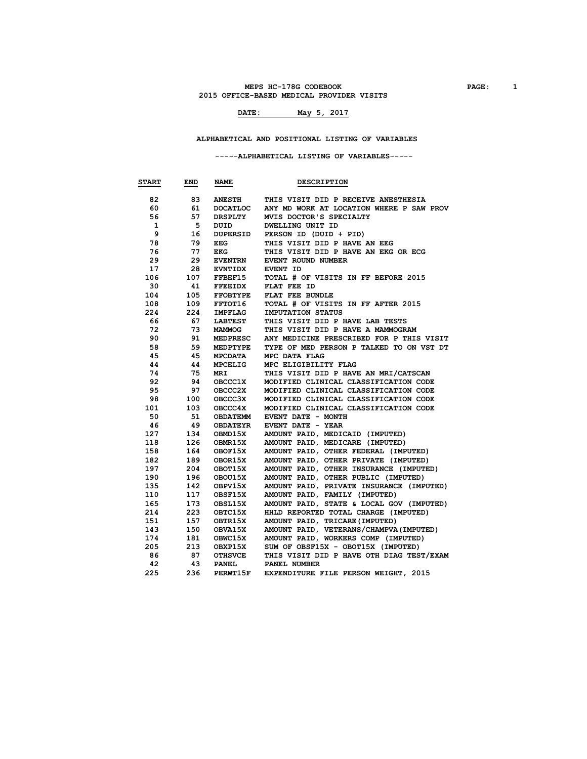### **MEPS HC-178G CODEBOOK PAGE: 1 2015 OFFICE-BASED MEDICAL PROVIDER VISITS**

## **DATE: May 5, 2017**

 **ALPHABETICAL AND POSITIONAL LISTING OF VARIABLES**

 **-----ALPHABETICAL LISTING OF VARIABLES-----**

| <b>START</b> | END | <b>NAME</b>     | <b>DESCRIPTION</b>                       |
|--------------|-----|-----------------|------------------------------------------|
| 82           | 83  | <b>ANESTH</b>   | THIS VISIT DID P RECEIVE ANESTHESIA      |
| 60           | 61  | <b>DOCATLOC</b> | ANY MD WORK AT LOCATION WHERE P SAW PROV |
| 56           | 57  | DRSPLTY         | MVIS DOCTOR'S SPECIALTY                  |
| $\mathbf{1}$ | - 5 | DUID            | <b>DWELLING UNIT ID</b>                  |
| 9            | 16  | <b>DUPERSID</b> | PERSON ID (DUID + PID)                   |
| 78           | 79  | EEG             | THIS VISIT DID P HAVE AN EEG             |
| 76           | 77  | EKG             | THIS VISIT DID P HAVE AN EKG OR ECG      |
| 29           | 29  | <b>EVENTRN</b>  | EVENT ROUND NUMBER                       |
| 17           | 28  | <b>EVNTIDX</b>  | EVENT ID                                 |
| 106          | 107 | FFBEF15         | TOTAL # OF VISITS IN FF BEFORE 2015      |
| 30           | 41  | <b>FFEEIDX</b>  | FLAT FEE ID                              |
| 104          | 105 | <b>FFOBTYPE</b> | FLAT FEE BUNDLE                          |
| 108          | 109 | <b>FFTOT16</b>  | TOTAL # OF VISITS IN FF AFTER 2015       |
| 224          | 224 | IMPFLAG         | IMPUTATION STATUS                        |
| 66           | 67  | LABTEST         | THIS VISIT DID P HAVE LAB TESTS          |
| 72           | 73  | MAMMOG          | THIS VISIT DID P HAVE A MAMMOGRAM        |
| 90           | 91  | MEDPRESC        | ANY MEDICINE PRESCRIBED FOR P THIS VISIT |
| 58           | 59  | MEDPTYPE        | TYPE OF MED PERSON P TALKED TO ON VST DT |
| 45           | 45  | MPCDATA         | MPC DATA FLAG                            |
| 44           | 44  | MPCELIG         | MPC ELIGIBILITY FLAG                     |
| 74           | 75  | MRI             | THIS VISIT DID P HAVE AN MRI/CATSCAN     |
| 92           | 94  | <b>OBCCC1X</b>  | MODIFIED CLINICAL CLASSIFICATION CODE    |
| 95           | 97  | <b>OBCCC2X</b>  | MODIFIED CLINICAL CLASSIFICATION CODE    |
| 98           | 100 | OBCCC3X         | MODIFIED CLINICAL CLASSIFICATION CODE    |
| 101          | 103 | OBCCC4X         | MODIFIED CLINICAL CLASSIFICATION CODE    |
| 50           | 51  | <b>OBDATEMM</b> | EVENT DATE - MONTH                       |
| 46           | 49  | OBDATEYR        | EVENT DATE - YEAR                        |
| 127          | 134 | OBMD15X         | AMOUNT PAID, MEDICAID (IMPUTED)          |
| 118          | 126 | <b>OBMR15X</b>  | AMOUNT PAID, MEDICARE (IMPUTED)          |
| 158          | 164 | OBOF15X         | AMOUNT PAID, OTHER FEDERAL (IMPUTED)     |
| 182          | 189 | OBOR15X         | AMOUNT PAID, OTHER PRIVATE (IMPUTED)     |
| 197          | 204 | OBOT15X         | AMOUNT PAID, OTHER INSURANCE (IMPUTED)   |
| 190          | 196 | OBOU15X         | AMOUNT PAID, OTHER PUBLIC (IMPUTED)      |
| 135          | 142 | OBPV15X         | AMOUNT PAID, PRIVATE INSURANCE (IMPUTED) |
| 110          | 117 | OBSF15X         | AMOUNT PAID, FAMILY (IMPUTED)            |
| 165          | 173 | OBSL15X         | AMOUNT PAID, STATE & LOCAL GOV (IMPUTED) |
| 214          | 223 | OBTC15X         | HHLD REPORTED TOTAL CHARGE (IMPUTED)     |
| 151          | 157 | OBTR15X         | AMOUNT PAID, TRICARE (IMPUTED)           |
| 143          | 150 | OBVA15X         | AMOUNT PAID, VETERANS/CHAMPVA (IMPUTED)  |
| 174          | 181 | OBWC15X         | AMOUNT PAID, WORKERS COMP (IMPUTED)      |
| 205          | 213 | OBXP15X         | SUM OF OBSF15X - OBOT15X (IMPUTED)       |
| 86           | 87  | <b>OTHSVCE</b>  | THIS VISIT DID P HAVE OTH DIAG TEST/EXAM |
| 42           | 43  | <b>PANEL</b>    | PANEL NUMBER                             |
| 225          | 236 | PERWT15F        | EXPENDITURE FILE PERSON WEIGHT, 2015     |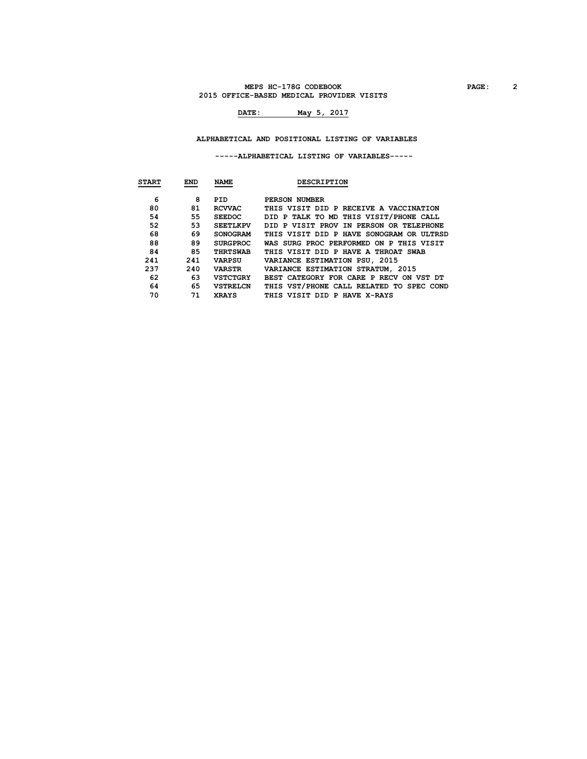### **MEPS HC-178G CODEBOOK PAGE: 2 2015 OFFICE-BASED MEDICAL PROVIDER VISITS**

## **DATE: May 5, 2017**

### **ALPHABETICAL AND POSITIONAL LISTING OF VARIABLES**

#### **-----ALPHABETICAL LISTING OF VARIABLES-----**

| <b>START</b> | <b>END</b> | <b>NAME</b>     | <b>DESCRIPTION</b>                       |
|--------------|------------|-----------------|------------------------------------------|
|              |            |                 |                                          |
| 6            | 8          | PID             | PERSON NUMBER                            |
| 80           | 81         | <b>RCVVAC</b>   | THIS VISIT DID P RECEIVE A VACCINATION   |
| 54           | 55         | <b>SEEDOC</b>   | DID P TALK TO MD THIS VISIT/PHONE CALL   |
| 52           | 53         | <b>SEETLKPV</b> | DID P VISIT PROV IN PERSON OR TELEPHONE  |
| 68           | 69         | <b>SONOGRAM</b> | THIS VISIT DID P HAVE SONOGRAM OR ULTRSD |
| 88           | 89         | <b>SURGPROC</b> | WAS SURG PROC PERFORMED ON P THIS VISIT  |
| 84           | 85         | <b>THRTSWAB</b> | THIS VISIT DID P HAVE A THROAT SWAB      |
| 241          | 241        | <b>VARPSU</b>   | VARIANCE ESTIMATION PSU, 2015            |
| 237          | 240        | <b>VARSTR</b>   | VARIANCE ESTIMATION STRATUM, 2015        |
| 62           | 63         | <b>VSTCTGRY</b> | BEST CATEGORY FOR CARE P RECV ON VST DT  |
| 64           | 65         | <b>VSTRELCN</b> | THIS VST/PHONE CALL RELATED TO SPEC COND |
| 70           | 71         | <b>XRAYS</b>    | THIS VISIT DID P HAVE X-RAYS             |
|              |            |                 |                                          |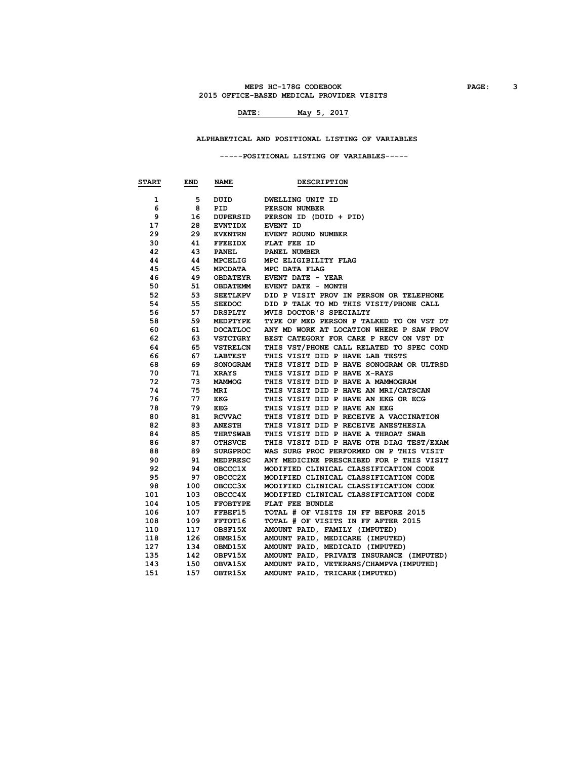### **MEPS HC-178G CODEBOOK PAGE: 3 2015 OFFICE-BASED MEDICAL PROVIDER VISITS**

## **DATE: May 5, 2017**

### **ALPHABETICAL AND POSITIONAL LISTING OF VARIABLES**

#### **-----POSITIONAL LISTING OF VARIABLES-----**

| <b>START</b> | END | <b>NAME</b>     | <b>DESCRIPTION</b>                       |
|--------------|-----|-----------------|------------------------------------------|
| 1            | 5   | DUID            | <b>DWELLING UNIT ID</b>                  |
| 6            | 8   | <b>PID</b>      | PERSON NUMBER                            |
| 9            | 16  | DUPERSID        | PERSON ID (DUID + PID)                   |
| 17           | 28  | <b>EVNTIDX</b>  | EVENT ID                                 |
| 29           | 29  | <b>EVENTRN</b>  | EVENT ROUND NUMBER                       |
| 30           | 41  | <b>FFEEIDX</b>  | FLAT FEE ID                              |
| 42           | 43  | <b>PANEL</b>    | PANEL NUMBER                             |
| 44           | 44  | <b>MPCELIG</b>  | MPC ELIGIBILITY FLAG                     |
| 45           | 45  | <b>MPCDATA</b>  | MPC DATA FLAG                            |
| 46           | 49  | OBDATEYR        | EVENT DATE - YEAR                        |
| 50           | 51  | OBDATEMM        | EVENT DATE - MONTH                       |
| 52           | 53  | SEETLKPV        | DID P VISIT PROV IN PERSON OR TELEPHONE  |
| 54           | 55  | <b>SEEDOC</b>   | DID P TALK TO MD THIS VISIT/PHONE CALL   |
| 56           | 57  | DRSPLTY         | MVIS DOCTOR'S SPECIALTY                  |
| 58           | 59  | MEDPTYPE        | TYPE OF MED PERSON P TALKED TO ON VST DT |
| 60           | 61  | <b>DOCATLOC</b> | ANY MD WORK AT LOCATION WHERE P SAW PROV |
| 62           | 63  | <b>VSTCTGRY</b> | BEST CATEGORY FOR CARE P RECV ON VST DT  |
| 64           | 65  | <b>VSTRELCN</b> | THIS VST/PHONE CALL RELATED TO SPEC COND |
| 66           | 67  | <b>LABTEST</b>  | THIS VISIT DID P HAVE LAB TESTS          |
| 68           | 69  | <b>SONOGRAM</b> | THIS VISIT DID P HAVE SONOGRAM OR ULTRSD |
| 70           | 71  | XRAYS           | THIS VISIT DID P HAVE X-RAYS             |
| 72           | 73  | MAMMOG          | THIS VISIT DID P HAVE A MAMMOGRAM        |
| 74           | 75  | <b>MRI</b>      | THIS VISIT DID P HAVE AN MRI/CATSCAN     |
| 76           | 77  | EKG             | THIS VISIT DID P HAVE AN EKG OR ECG      |
| 78           | 79  | <b>EEG</b>      | THIS VISIT DID P HAVE AN EEG             |
| 80           | 81  | <b>RCVVAC</b>   | THIS VISIT DID P RECEIVE A VACCINATION   |
| 82           | 83  | <b>ANESTH</b>   | THIS VISIT DID P RECEIVE ANESTHESIA      |
| 84           | 85  | <b>THRTSWAB</b> | THIS VISIT DID P HAVE A THROAT SWAB      |
| 86           | 87  | <b>OTHSVCE</b>  | THIS VISIT DID P HAVE OTH DIAG TEST/EXAM |
| 88           | 89  | <b>SURGPROC</b> | WAS SURG PROC PERFORMED ON P THIS VISIT  |
| 90           | 91  | MEDPRESC        | ANY MEDICINE PRESCRIBED FOR P THIS VISIT |
| 92           | 94  | <b>OBCCC1X</b>  | MODIFIED CLINICAL CLASSIFICATION CODE    |
| 95           | 97  | OBCCC2X         | MODIFIED CLINICAL CLASSIFICATION CODE    |
| 98           | 100 | OBCCC3X         | MODIFIED CLINICAL CLASSIFICATION CODE    |
| 101          | 103 | OBCCC4X         | MODIFIED CLINICAL CLASSIFICATION CODE    |
| 104          | 105 | <b>FFOBTYPE</b> | FLAT FEE BUNDLE                          |
| 106          | 107 | FFBEF15         | TOTAL # OF VISITS IN FF BEFORE 2015      |
| 108          | 109 | <b>FFTOT16</b>  | TOTAL # OF VISITS IN FF AFTER 2015       |
| 110          | 117 | OBSF15X         | AMOUNT PAID, FAMILY (IMPUTED)            |
| 118          | 126 | OBMR15X         | AMOUNT PAID, MEDICARE (IMPUTED)          |
| 127          | 134 | OBMD15X         | AMOUNT PAID, MEDICAID (IMPUTED)          |
| 135          | 142 | OBPV15X         | AMOUNT PAID, PRIVATE INSURANCE (IMPUTED) |
| 143          | 150 | OBVA15X         | AMOUNT PAID, VETERANS/CHAMPVA (IMPUTED)  |
| 151          | 157 | OBTR15X         | AMOUNT PAID, TRICARE (IMPUTED)           |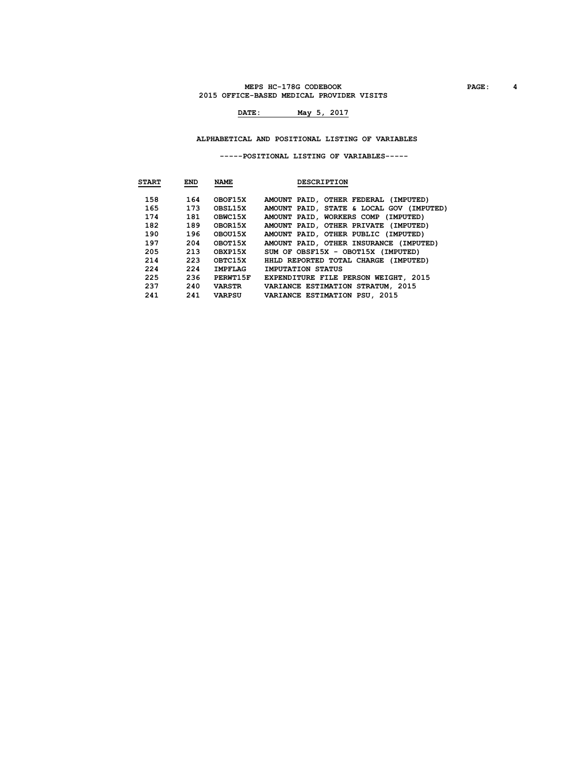### **MEPS HC-178G CODEBOOK PAGE: 4 2015 OFFICE-BASED MEDICAL PROVIDER VISITS**

## **DATE: May 5, 2017**

 **ALPHABETICAL AND POSITIONAL LISTING OF VARIABLES**

 **-----POSITIONAL LISTING OF VARIABLES-----**

| <b>START</b> | <b>END</b> | <b>NAME</b>    | <b>DESCRIPTION</b>                          |
|--------------|------------|----------------|---------------------------------------------|
| 158          | 164        | OBOF15X        | AMOUNT PAID, OTHER FEDERAL (IMPUTED)        |
| 165          | 173        | OBSL15X        | AMOUNT PAID, STATE & LOCAL GOV (IMPUTED)    |
| 174          | 181        | OBWC15X        | AMOUNT PAID, WORKERS COMP (IMPUTED)         |
| 182          | 189        | OBOR15X        | AMOUNT PAID, OTHER PRIVATE (IMPUTED)        |
| 190          | 196        | OBOU15X        | AMOUNT PAID, OTHER PUBLIC (IMPUTED)         |
| 197          | 204        | OBOT15X        | AMOUNT PAID, OTHER INSURANCE (IMPUTED)      |
| 205          | 213        | OBXP15X        | SUM OF OBSF15X - OBOT15X (IMPUTED)          |
| 214          | 223        | OBTC15X        | HHLD REPORTED TOTAL CHARGE (IMPUTED)        |
| 224          | 224        | <b>IMPFLAG</b> | IMPUTATION STATUS                           |
| 225          | 236        | PERWT15F       | <b>EXPENDITURE FILE PERSON WEIGHT, 2015</b> |
| 237          | 240        | VARSTR         | VARIANCE ESTIMATION STRATUM, 2015           |
| 241          | 241        | VARPSU         | VARIANCE ESTIMATION PSU, 2015               |
|              |            |                |                                             |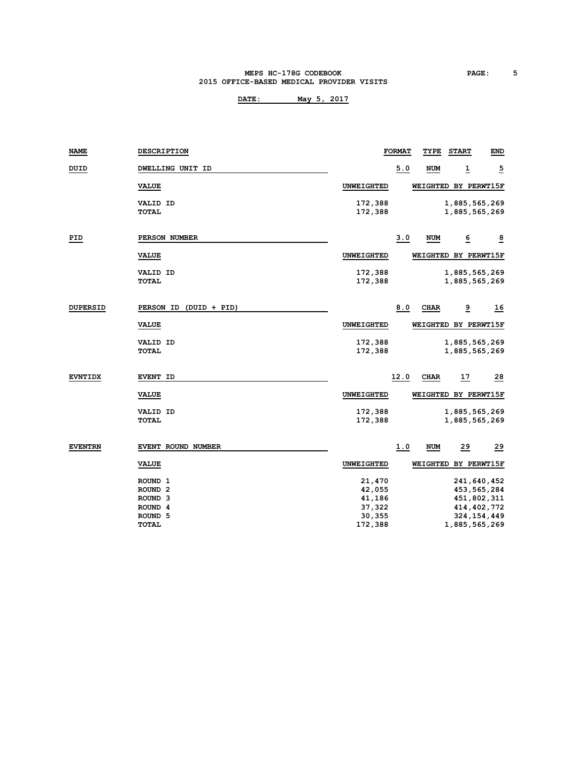#### **MEPS HC-178G CODEBOOK PAGE: 5 2015 OFFICE-BASED MEDICAL PROVIDER VISITS**

| <b>NAME</b>     | <b>DESCRIPTION</b>     |                   | <b>FORMAT</b> | TYPE        | <b>START</b> | END                  |
|-----------------|------------------------|-------------------|---------------|-------------|--------------|----------------------|
| DUID            | DWELLING UNIT ID       |                   | 5.0           | <b>NUM</b>  | 1            | $\overline{2}$       |
|                 | <b>VALUE</b>           | UNWEIGHTED        |               |             |              | WEIGHTED BY PERWT15F |
|                 | <b>VALID ID</b>        | 172,388           |               |             |              | 1,885,565,269        |
|                 | TOTAL                  | 172,388           |               |             |              | 1,885,565,269        |
| PID             | PERSON NUMBER          |                   | 3.0           | <b>NUM</b>  | <u>6</u>     | $\overline{8}$       |
|                 | <b>VALUE</b>           | <b>UNWEIGHTED</b> |               |             |              | WEIGHTED BY PERWT15F |
|                 | <b>VALID ID</b>        | 172,388           |               |             |              | 1,885,565,269        |
|                 | TOTAL                  | 172,388           |               |             |              | 1,885,565,269        |
| <b>DUPERSID</b> | PERSON ID (DUID + PID) |                   | 8.0           | <b>CHAR</b> | <u>و</u>     | 16                   |
|                 | <b>VALUE</b>           | <b>UNWEIGHTED</b> |               |             |              | WEIGHTED BY PERWT15F |
|                 | <b>VALID ID</b>        | 172,388           |               |             |              | 1,885,565,269        |
|                 | <b>TOTAL</b>           | 172,388           |               |             |              | 1,885,565,269        |
| <b>EVNTIDX</b>  | <b>EVENT ID</b>        |                   | 12.0          | <b>CHAR</b> | <u>17</u>    | 28                   |
|                 | <b>VALUE</b>           | UNWEIGHTED        |               |             |              | WEIGHTED BY PERWT15F |
|                 | <b>VALID ID</b>        | 172,388           |               |             |              | 1,885,565,269        |
|                 | <b>TOTAL</b>           | 172,388           |               |             |              | 1,885,565,269        |
| <b>EVENTRN</b>  | EVENT ROUND NUMBER     |                   | 1.0           | <b>NUM</b>  | 29           | $^{29}$              |
|                 | <b>VALUE</b>           | UNWEIGHTED        |               |             |              | WEIGHTED BY PERWT15F |
|                 | ROUND <sub>1</sub>     | 21,470            |               |             |              | 241,640,452          |
|                 | ROUND <sub>2</sub>     | 42,055            |               |             |              | 453, 565, 284        |
|                 | ROUND <sub>3</sub>     | 41,186            |               |             |              | 451,802,311          |
|                 | ROUND <sub>4</sub>     | 37,322            |               |             |              | 414, 402, 772        |
|                 | ROUND <sub>5</sub>     | 30,355            |               |             |              | 324, 154, 449        |
|                 | <b>TOTAL</b>           | 172,388           |               |             |              | 1,885,565,269        |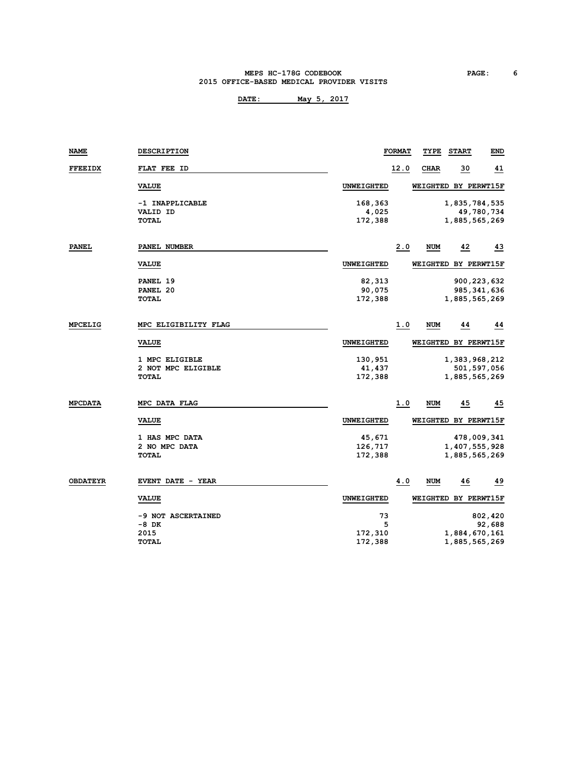#### **MEPS HC-178G CODEBOOK PAGE: 6 2015 OFFICE-BASED MEDICAL PROVIDER VISITS**

**DATE: May 5, 2017**

| NAME            | <b>DESCRIPTION</b>       |                   | <b>FORMAT</b> | TYPE                 | <b>START</b>  | END        |
|-----------------|--------------------------|-------------------|---------------|----------------------|---------------|------------|
| <b>FFEEIDX</b>  | FLAT FEE ID              |                   | 12.0          | CHAR                 | 30            | 41         |
|                 | <b>VALUE</b>             | UNWEIGHTED        |               | WEIGHTED BY PERWT15F |               |            |
|                 | -1 INAPPLICABLE          | 168,363           |               |                      | 1,835,784,535 |            |
|                 | <b>VALID ID</b>          | 4,025             |               |                      |               | 49,780,734 |
|                 | TOTAL                    | 172,388           |               |                      | 1,885,565,269 |            |
| <b>PANEL</b>    | PANEL NUMBER             |                   | 2.0           | NUM                  | 42            | 43         |
|                 | <b>VALUE</b>             | <b>UNWEIGHTED</b> |               | WEIGHTED BY PERWT15F |               |            |
|                 | PANEL 19                 | 82,313            |               |                      | 900, 223, 632 |            |
|                 | PANEL 20                 | 90,075            |               |                      | 985, 341, 636 |            |
|                 | <b>TOTAL</b>             | 172,388           |               |                      | 1,885,565,269 |            |
| <b>MPCELIG</b>  | MPC ELIGIBILITY FLAG     |                   | 1.0           | <b>NUM</b>           | 44            | 44         |
|                 | <b>VALUE</b>             | UNWEIGHTED        |               | WEIGHTED BY PERWT15F |               |            |
|                 | 1 MPC ELIGIBLE           | 130,951           |               |                      | 1,383,968,212 |            |
|                 | 2 NOT MPC ELIGIBLE       | 41,437            |               |                      | 501,597,056   |            |
|                 | <b>TOTAL</b>             | 172,388           |               |                      | 1,885,565,269 |            |
| <b>MPCDATA</b>  | MPC DATA FLAG            |                   | 1.0           | NUM                  | 45            | 45         |
|                 | <b>VALUE</b>             | <b>UNWEIGHTED</b> |               | WEIGHTED BY PERWT15F |               |            |
|                 | 1 HAS MPC DATA           | 45,671            |               |                      | 478,009,341   |            |
|                 | 2 NO MPC DATA            | 126,717           |               |                      | 1,407,555,928 |            |
|                 | TOTAL                    | 172,388           |               |                      | 1,885,565,269 |            |
| <b>OBDATEYR</b> | <b>EVENT DATE - YEAR</b> |                   | 4.0           | <b>NUM</b>           | 46            | 49         |
|                 | <b>VALUE</b>             | <b>UNWEIGHTED</b> |               | WEIGHTED BY PERWT15F |               |            |
|                 | -9 NOT ASCERTAINED       | 73                |               |                      |               | 802,420    |
|                 | -8 DK                    | 5                 |               |                      |               | 92,688     |
|                 | 2015                     | 172,310           |               |                      | 1,884,670,161 |            |

**TOTAL 172,388 1,885,565,269**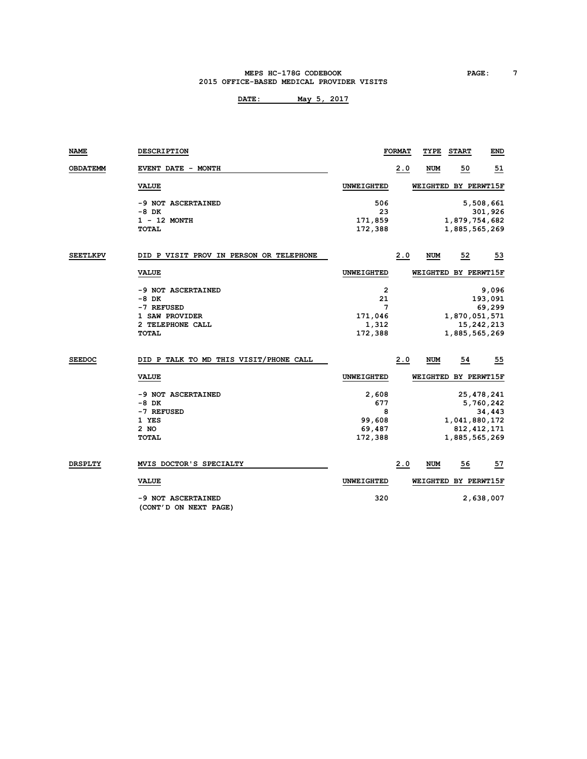#### **MEPS HC-178G CODEBOOK PAGE: 7 2015 OFFICE-BASED MEDICAL PROVIDER VISITS**

| NAME            | DESCRIPTION                                 |                   | <b>FORMAT</b> | TYPE       | <b>START</b>         | END           |
|-----------------|---------------------------------------------|-------------------|---------------|------------|----------------------|---------------|
| <b>OBDATEMM</b> | EVENT DATE - MONTH                          |                   | 2.0           | NUM        | 50                   | <u>51</u>     |
|                 | <b>VALUE</b>                                | <b>UNWEIGHTED</b> |               |            | WEIGHTED BY PERWT15F |               |
|                 | -9 NOT ASCERTAINED                          | 506               |               |            |                      | 5,508,661     |
|                 | $-8$ DK                                     | 23                |               |            |                      | 301,926       |
|                 | $1 - 12$ MONTH                              | 171,859           |               |            | 1,879,754,682        |               |
|                 | <b>TOTAL</b>                                | 172,388           |               |            | 1,885,565,269        |               |
| <b>SEETLKPV</b> | DID P VISIT PROV IN PERSON OR TELEPHONE     |                   | 2.0           | NUM        | 52                   | 53            |
|                 | <b>VALUE</b>                                | UNWEIGHTED        |               |            | WEIGHTED BY PERWT15F |               |
|                 | -9 NOT ASCERTAINED                          | 2                 |               |            |                      | 9,096         |
|                 | $-8$ DK                                     | 21                |               |            |                      | 193,091       |
|                 | -7 REFUSED                                  | 7                 |               |            |                      | 69,299        |
|                 | 1 SAW PROVIDER                              | 171,046           |               |            | 1,870,051,571        |               |
|                 | 2 TELEPHONE CALL                            | 1,312             |               |            |                      | 15,242,213    |
|                 | <b>TOTAL</b>                                | 172,388           |               |            | 1,885,565,269        |               |
| <b>SEEDOC</b>   | DID P TALK TO MD THIS VISIT/PHONE CALL      |                   | 2.0           | <b>NUM</b> | 54                   | 55            |
|                 | <b>VALUE</b>                                | UNWEIGHTED        |               |            | WEIGHTED BY PERWT15F |               |
|                 | -9 NOT ASCERTAINED                          | 2,608             |               |            |                      | 25, 478, 241  |
|                 | -8 DK                                       | 677               |               |            |                      | 5,760,242     |
|                 | -7 REFUSED                                  | 8                 |               |            |                      | 34,443        |
|                 | 1 YES                                       | 99,608            |               |            | 1,041,880,172        |               |
|                 | 2 NO                                        | 69,487            |               |            |                      | 812, 412, 171 |
|                 | <b>TOTAL</b>                                | 172,388           |               |            | 1,885,565,269        |               |
| <b>DRSPLTY</b>  | MVIS DOCTOR'S SPECIALTY                     |                   | 2.0           | <b>NUM</b> | 56                   | 57            |
|                 | <b>VALUE</b>                                | <b>UNWEIGHTED</b> |               |            | WEIGHTED BY PERWT15F |               |
|                 | -9 NOT ASCERTAINED<br>(CONT'D ON NEXT PAGE) | 320               |               |            |                      | 2,638,007     |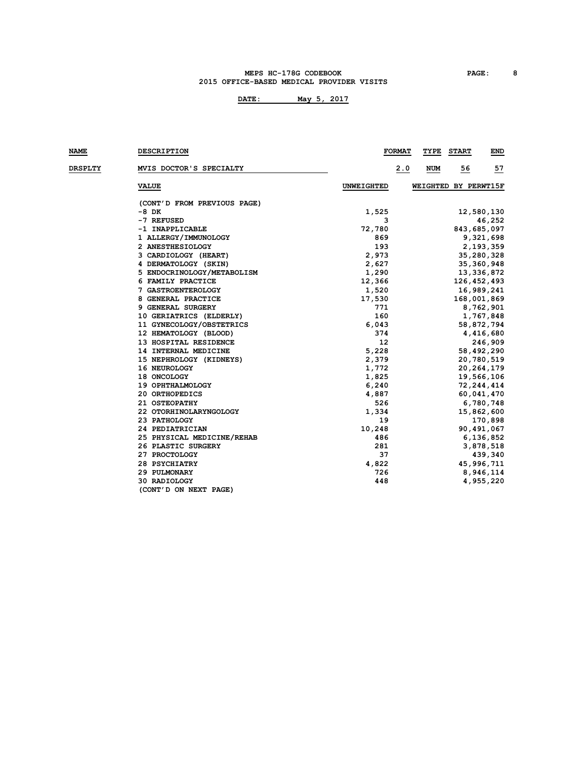#### **MEPS HC-178G CODEBOOK PAGE: 8 2015 OFFICE-BASED MEDICAL PROVIDER VISITS**

| NAME           | <b>DESCRIPTION</b>          |                   | <b>FORMAT</b> | TYPE                 | <b>START</b> |              | END |
|----------------|-----------------------------|-------------------|---------------|----------------------|--------------|--------------|-----|
| <b>DRSPLTY</b> | MVIS DOCTOR'S SPECIALTY     |                   | 2.0           | NUM                  | 56           |              | 57  |
|                | <b>VALUE</b>                | <b>UNWEIGHTED</b> |               | WEIGHTED BY PERWT15F |              |              |     |
|                | (CONT'D FROM PREVIOUS PAGE) |                   |               |                      |              |              |     |
|                | -8 DK                       | 1,525             |               |                      |              | 12,580,130   |     |
|                | -7 REFUSED                  | з                 |               |                      |              | 46,252       |     |
|                | -1 INAPPLICABLE             | 72,780            |               |                      |              | 843,685,097  |     |
|                | 1 ALLERGY/IMMUNOLOGY        | 869               |               |                      |              | 9,321,698    |     |
|                | 2 ANESTHESIOLOGY            | 193               |               |                      |              | 2,193,359    |     |
|                | 3 CARDIOLOGY (HEART)        | 2,973             |               |                      |              | 35,280,328   |     |
|                | 4 DERMATOLOGY (SKIN)        | 2,627             |               |                      |              | 35, 360, 948 |     |
|                | 5 ENDOCRINOLOGY/METABOLISM  | 1,290             |               |                      |              | 13,336,872   |     |
|                | 6 FAMILY PRACTICE           | 12,366            |               |                      |              | 126,452,493  |     |
|                | 7 GASTROENTEROLOGY          | 1,520             |               |                      |              | 16,989,241   |     |
|                | 8 GENERAL PRACTICE          | 17,530            |               |                      |              | 168,001,869  |     |
|                | 9 GENERAL SURGERY           | 771               |               |                      |              | 8,762,901    |     |
|                | 10 GERIATRICS (ELDERLY)     | 160               |               |                      |              | 1,767,848    |     |
|                | 11 GYNECOLOGY/OBSTETRICS    | 6,043             |               |                      |              | 58,872,794   |     |
|                | 12 HEMATOLOGY (BLOOD)       | 374               |               |                      |              | 4,416,680    |     |
|                | 13 HOSPITAL RESIDENCE       | 12                |               |                      |              | 246,909      |     |
|                | 14 INTERNAL MEDICINE        | 5,228             |               |                      |              | 58,492,290   |     |
|                | 15 NEPHROLOGY (KIDNEYS)     | 2,379             |               |                      |              | 20,780,519   |     |
|                | 16 NEUROLOGY                | 1,772             |               |                      |              | 20, 264, 179 |     |
|                | 18 ONCOLOGY                 | 1,825             |               |                      |              | 19,566,106   |     |
|                | 19 OPHTHALMOLOGY            | 6,240             |               |                      |              | 72,244,414   |     |
|                | 20 ORTHOPEDICS              | 4,887             |               |                      |              | 60,041,470   |     |
|                | 21 OSTEOPATHY               | 526               |               |                      |              | 6,780,748    |     |
|                | 22 OTORHINOLARYNGOLOGY      | 1,334             |               |                      |              | 15,862,600   |     |
|                | 23 PATHOLOGY                | 19                |               |                      |              | 170,898      |     |
|                | 24 PEDIATRICIAN             | 10,248            |               |                      |              | 90,491,067   |     |
|                | 25 PHYSICAL MEDICINE/REHAB  | 486               |               |                      |              | 6,136,852    |     |
|                | 26 PLASTIC SURGERY          | 281               |               |                      |              | 3,878,518    |     |
|                | 27 PROCTOLOGY               | 37                |               |                      |              | 439,340      |     |
|                | 28 PSYCHIATRY               | 4,822             |               |                      |              | 45,996,711   |     |
|                | 29 PULMONARY                | 726               |               |                      |              | 8,946,114    |     |
|                | 30 RADIOLOGY                | 448               |               |                      |              | 4,955,220    |     |
|                | (CONT'D ON NEXT PAGE)       |                   |               |                      |              |              |     |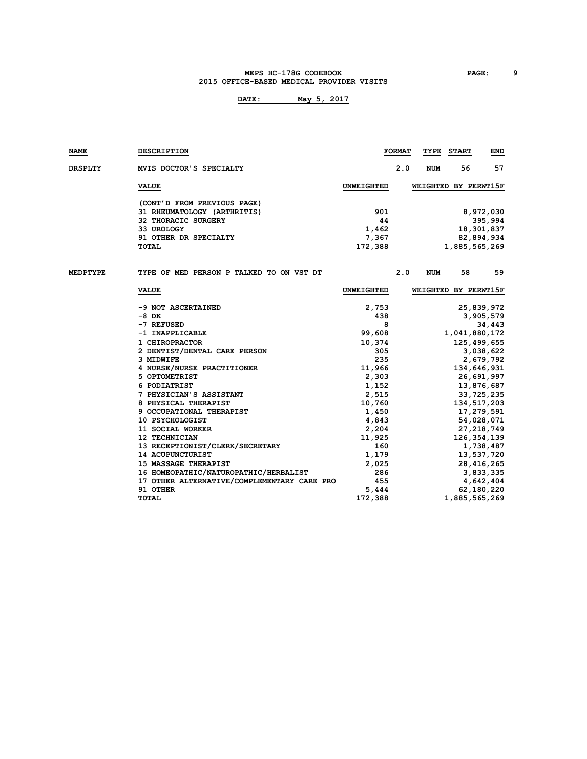#### **MEPS HC-178G CODEBOOK PAGE: 9 2015 OFFICE-BASED MEDICAL PROVIDER VISITS**

| NAME           | <b>DESCRIPTION</b>                          |                   | <b>FORMAT</b> | TYPE       | <b>START</b>         | END          |
|----------------|---------------------------------------------|-------------------|---------------|------------|----------------------|--------------|
| <b>DRSPLTY</b> | MVIS DOCTOR'S SPECIALTY                     |                   | 2.0           | <b>NUM</b> | <u>56</u>            | 57           |
|                | <b>VALUE</b>                                | UNWEIGHTED        |               |            | WEIGHTED BY PERWT15F |              |
|                | (CONT'D FROM PREVIOUS PAGE)                 |                   |               |            |                      |              |
|                | 31 RHEUMATOLOGY (ARTHRITIS)                 | 901               |               |            |                      | 8,972,030    |
|                | 32 THORACIC SURGERY                         | 44                |               |            |                      | 395,994      |
|                | 33 UROLOGY                                  | 1,462             |               |            |                      | 18,301,837   |
|                | 91 OTHER DR SPECIALTY                       | 7,367             |               |            |                      | 82,894,934   |
|                | <b>TOTAL</b>                                | 172,388           |               |            | 1,885,565,269        |              |
| MEDPTYPE       | TYPE OF MED PERSON P TALKED TO ON VST DT    |                   |               |            |                      |              |
|                |                                             |                   | 2.0           | <b>NUM</b> | 58                   | 59           |
|                | <b>VALUE</b>                                | <b>UNWEIGHTED</b> |               |            | WEIGHTED BY PERWT15F |              |
|                | -9 NOT ASCERTAINED                          | 2,753             |               |            |                      | 25,839,972   |
|                | -8 DK                                       | 438               |               |            |                      | 3,905,579    |
|                | -7 REFUSED                                  | 8                 |               |            |                      | 34,443       |
|                | -1 INAPPLICABLE                             | 99,608            |               |            | 1,041,880,172        |              |
|                | 1 CHIROPRACTOR                              | 10,374            |               |            | 125,499,655          |              |
|                | 2 DENTIST/DENTAL CARE PERSON                | 305               |               |            |                      | 3,038,622    |
|                | 3 MIDWIFE                                   | 235               |               |            |                      | 2,679,792    |
|                | 4 NURSE/NURSE PRACTITIONER                  | 11,966            |               |            | 134,646,931          |              |
|                | 5 OPTOMETRIST                               | 2,303             |               |            |                      | 26,691,997   |
|                | 6 PODIATRIST                                | 1,152             |               |            |                      | 13,876,687   |
|                | 7 PHYSICIAN'S ASSISTANT                     | 2,515             |               |            |                      | 33,725,235   |
|                | 8 PHYSICAL THERAPIST                        | 10,760            |               |            | 134,517,203          |              |
|                | 9 OCCUPATIONAL THERAPIST                    | 1,450             |               |            |                      | 17,279,591   |
|                | 10 PSYCHOLOGIST                             | 4,843             |               |            |                      | 54,028,071   |
|                | 11 SOCIAL WORKER                            | 2,204             |               |            |                      | 27, 218, 749 |
|                | 12 TECHNICIAN                               | 11,925            |               |            | 126, 354, 139        |              |
|                | 13 RECEPTIONIST/CLERK/SECRETARY             | 160               |               |            |                      | 1,738,487    |
|                | 14 ACUPUNCTURIST                            | 1,179             |               |            |                      | 13,537,720   |
|                | 15 MASSAGE THERAPIST                        | 2,025             |               |            |                      | 28,416,265   |
|                | 16 HOMEOPATHIC/NATUROPATHIC/HERBALIST       | 286               |               |            |                      | 3,833,335    |
|                | 17 OTHER ALTERNATIVE/COMPLEMENTARY CARE PRO | 455               |               |            |                      | 4,642,404    |
|                | 91 OTHER                                    | 5,444             |               |            |                      | 62, 180, 220 |
|                | <b>TOTAL</b>                                | 172,388           |               |            | 1,885,565,269        |              |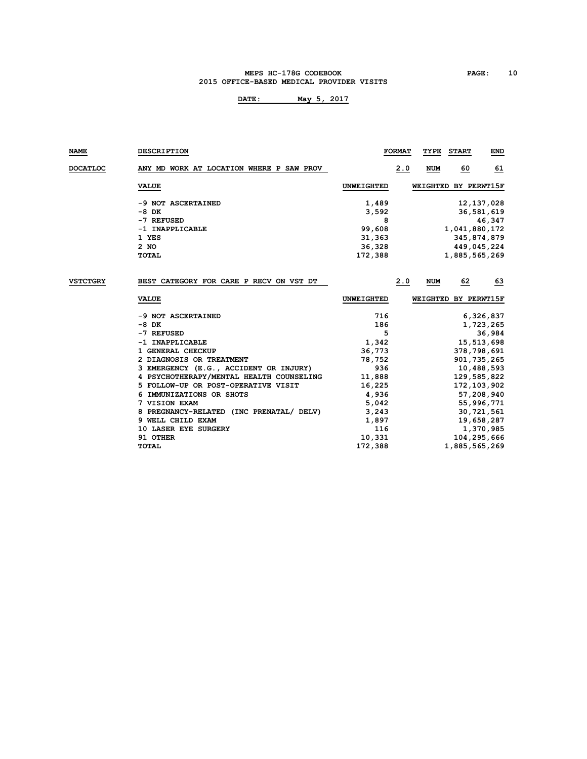#### **MEPS HC-178G CODEBOOK PAGE: 10 2015 OFFICE-BASED MEDICAL PROVIDER VISITS**

| <b>NAME</b>     | <b>DESCRIPTION</b>                       |                   | <b>FORMAT</b> | TYPE       | <b>START</b> | END                  |
|-----------------|------------------------------------------|-------------------|---------------|------------|--------------|----------------------|
| <b>DOCATLOC</b> | ANY MD WORK AT LOCATION WHERE P SAW PROV |                   | 2.0           | <b>NUM</b> | 60           | 61                   |
|                 | <b>VALUE</b>                             | UNWEIGHTED        |               |            |              | WEIGHTED BY PERWT15F |
|                 | -9 NOT ASCERTAINED                       | 1,489             |               |            |              | 12, 137, 028         |
|                 | -8 DK                                    | 3,592             |               |            |              | 36,581,619           |
|                 | -7 REFUSED                               | 8                 |               |            |              | 46,347               |
|                 | -1 INAPPLICABLE                          | 99,608            |               |            |              | 1,041,880,172        |
|                 | 1 YES                                    | 31,363            |               |            |              | 345,874,879          |
|                 | 2 NO                                     | 36,328            |               |            |              | 449,045,224          |
|                 | <b>TOTAL</b>                             | 172,388           |               |            |              | 1,885,565,269        |
|                 |                                          |                   |               |            |              |                      |
| <b>VSTCTGRY</b> | BEST CATEGORY FOR CARE P RECV ON VST DT  |                   | 2.0           | <b>NUM</b> | 62           | 63                   |
|                 | <b>VALUE</b>                             | <b>UNWEIGHTED</b> |               |            |              | WEIGHTED BY PERWT15F |
|                 | -9 NOT ASCERTAINED                       | 716               |               |            |              | 6,326,837            |
|                 | $-8$ DK                                  | 186               |               |            |              | 1,723,265            |
|                 | -7 REFUSED                               | 5                 |               |            |              | 36,984               |
|                 | -1 INAPPLICABLE                          | 1,342             |               |            |              | 15,513,698           |
|                 | 1 GENERAL CHECKUP                        | 36,773            |               |            |              | 378,798,691          |
|                 | 2 DIAGNOSIS OR TREATMENT                 | 78,752            |               |            |              | 901, 735, 265        |
|                 | 3 EMERGENCY (E.G., ACCIDENT OR INJURY)   | 936               |               |            |              | 10,488,593           |
|                 | 4 PSYCHOTHERAPY/MENTAL HEALTH COUNSELING | 11,888            |               |            |              | 129,585,822          |
|                 | 5 FOLLOW-UP OR POST-OPERATIVE VISIT      | 16,225            |               |            |              | 172,103,902          |
|                 | IMMUNIZATIONS OR SHOTS<br>6              | 4,936             |               |            |              | 57,208,940           |
|                 | 7 VISION EXAM                            | 5,042             |               |            |              | 55,996,771           |
|                 | 8 PREGNANCY-RELATED (INC PRENATAL/ DELV) | 3,243             |               |            |              | 30,721,561           |
|                 | 9 WELL CHILD EXAM                        | 1,897             |               |            |              | 19,658,287           |
|                 | 10 LASER EYE SURGERY                     | 116               |               |            |              | 1,370,985            |
|                 | 91 OTHER                                 | 10,331            |               |            |              | 104,295,666          |
|                 | <b>TOTAL</b>                             | 172,388           |               |            |              | 1,885,565,269        |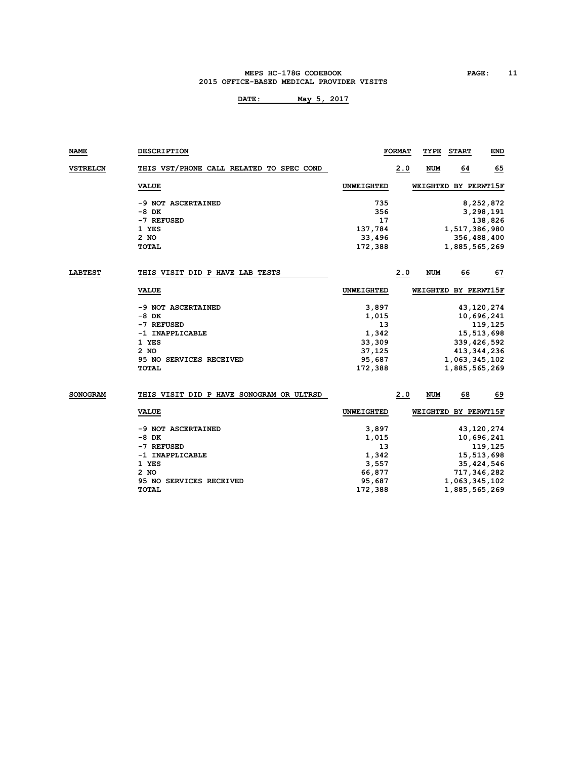#### **MEPS HC-178G CODEBOOK PAGE: 11 2015 OFFICE-BASED MEDICAL PROVIDER VISITS**

| NAME            | <b>DESCRIPTION</b>                       |                   | <b>FORMAT</b> | TYPE                 | <b>START</b>  | END           |
|-----------------|------------------------------------------|-------------------|---------------|----------------------|---------------|---------------|
| <b>VSTRELCN</b> | THIS VST/PHONE CALL RELATED TO SPEC COND |                   | 2.0           | NUM                  | 64            | 65            |
|                 | <b>VALUE</b>                             | UNWEIGHTED        |               | WEIGHTED BY PERWT15F |               |               |
|                 | -9 NOT ASCERTAINED                       | 735               |               |                      |               | 8,252,872     |
|                 | -8 DK                                    | 356               |               |                      |               | 3,298,191     |
|                 | -7 REFUSED                               | 17                |               |                      |               | 138,826       |
|                 | 1 YES                                    | 137,784           |               |                      | 1,517,386,980 |               |
|                 | $2$ NO                                   | 33,496            |               |                      |               | 356,488,400   |
|                 | <b>TOTAL</b>                             | 172,388           |               |                      | 1,885,565,269 |               |
| <b>LABTEST</b>  | THIS VISIT DID P HAVE LAB TESTS          |                   | 2.0           | NUM                  | 66            | 67            |
|                 | <b>VALUE</b>                             | <b>UNWEIGHTED</b> |               | WEIGHTED BY PERWT15F |               |               |
|                 | -9 NOT ASCERTAINED                       | 3,897             |               |                      |               | 43,120,274    |
|                 | -8 DK                                    | 1,015             |               |                      |               | 10,696,241    |
|                 | -7 REFUSED                               | 13                |               |                      |               | 119,125       |
|                 | -1 INAPPLICABLE                          | 1,342             |               |                      |               | 15,513,698    |
|                 | 1 YES                                    | 33,309            |               |                      |               | 339,426,592   |
|                 | $2$ NO                                   | 37,125            |               |                      |               | 413, 344, 236 |
|                 | 95 NO SERVICES RECEIVED                  | 95,687            |               |                      | 1,063,345,102 |               |
|                 | TOTAL                                    | 172,388           |               |                      | 1,885,565,269 |               |
| <b>SONOGRAM</b> | THIS VISIT DID P HAVE SONOGRAM OR ULTRSD |                   | 2.0           | NUM                  | 68            | 69            |
|                 |                                          |                   |               |                      |               |               |
|                 | <b>VALUE</b>                             | <b>UNWEIGHTED</b> |               | WEIGHTED BY PERWT15F |               |               |
|                 | -9 NOT ASCERTAINED                       | 3,897             |               |                      |               | 43,120,274    |
|                 | -8 DK                                    | 1,015             |               |                      |               | 10,696,241    |
|                 | -7 REFUSED                               | 13                |               |                      |               | 119,125       |
|                 | -1 INAPPLICABLE                          | 1,342             |               |                      |               | 15,513,698    |
|                 | 1 YES                                    | 3,557             |               |                      |               | 35,424,546    |
|                 | 2 NO                                     | 66,877            |               |                      |               | 717,346,282   |
|                 | 95 NO SERVICES RECEIVED                  | 95,687            |               |                      | 1,063,345,102 |               |
|                 | <b>TOTAL</b>                             | 172,388           |               |                      | 1,885,565,269 |               |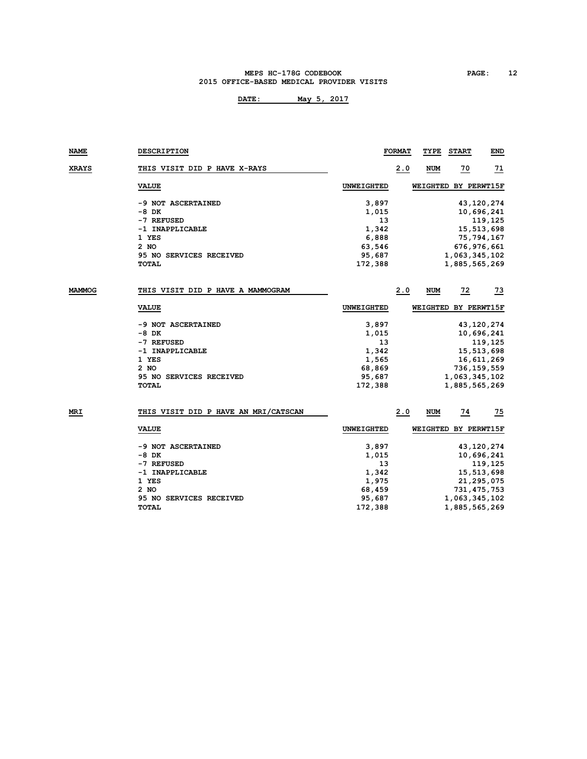#### **MEPS HC-178G CODEBOOK PAGE: 12 2015 OFFICE-BASED MEDICAL PROVIDER VISITS**

| NAME         | <b>DESCRIPTION</b>                   |                   | <b>FORMAT</b> | TYPE       | <b>START</b>         | <b>END</b>      |
|--------------|--------------------------------------|-------------------|---------------|------------|----------------------|-----------------|
| <b>XRAYS</b> | THIS VISIT DID P HAVE X-RAYS         |                   | 2.0           | <b>NUM</b> | $\frac{70}{2}$       | $\overline{11}$ |
|              | <b>VALUE</b>                         | <b>UNWEIGHTED</b> |               |            | WEIGHTED BY PERWT15F |                 |
|              | -9 NOT ASCERTAINED                   | 3,897             |               |            |                      | 43,120,274      |
|              | -8 DK                                | 1,015             |               |            |                      | 10,696,241      |
|              | -7 REFUSED                           | 13                |               |            |                      | 119,125         |
|              | -1 INAPPLICABLE                      | 1,342             |               |            |                      | 15,513,698      |
|              | 1 YES                                | 6,888             |               |            |                      | 75,794,167      |
|              | 2 NO                                 | 63,546            |               |            |                      | 676, 976, 661   |
|              | 95 NO SERVICES RECEIVED              | 95,687            |               |            | 1,063,345,102        |                 |
|              | TOTAL                                | 172,388           |               |            | 1,885,565,269        |                 |
| MAMMOG       | THIS VISIT DID P HAVE A MAMMOGRAM    |                   | 2.0           | NUM        | $\overline{22}$      | $\frac{73}{2}$  |
|              | <b>VALUE</b>                         | UNWEIGHTED        |               |            | WEIGHTED BY PERWT15F |                 |
|              |                                      |                   |               |            |                      |                 |
|              | -9 NOT ASCERTAINED                   | 3,897             |               |            |                      | 43,120,274      |
|              | -8 DK                                | 1,015             |               |            |                      | 10,696,241      |
|              | -7 REFUSED                           | 13                |               |            |                      | 119,125         |
|              | -1 INAPPLICABLE                      | 1,342             |               |            |                      | 15,513,698      |
|              | 1 YES                                | 1,565             |               |            |                      | 16,611,269      |
|              | 2 NO                                 | 68,869            |               |            |                      | 736,159,559     |
|              | 95 NO SERVICES RECEIVED              | 95,687            |               |            | 1,063,345,102        |                 |
|              | <b>TOTAL</b>                         | 172,388           |               |            | 1,885,565,269        |                 |
| MRI          | THIS VISIT DID P HAVE AN MRI/CATSCAN |                   | 2.0           | NUM        | 74                   | 75              |
|              |                                      |                   |               |            |                      |                 |
|              | <b>VALUE</b>                         | <b>UNWEIGHTED</b> |               |            | WEIGHTED BY PERWT15F |                 |
|              | -9 NOT ASCERTAINED                   | 3,897             |               |            |                      | 43,120,274      |
|              | -8 DK                                | 1,015             |               |            |                      | 10,696,241      |
|              | -7 REFUSED                           | 13                |               |            |                      | 119,125         |
|              | -1 INAPPLICABLE                      | 1,342             |               |            |                      | 15,513,698      |
|              | 1 YES                                | 1,975             |               |            |                      | 21,295,075      |
|              | 2 NO                                 | 68,459            |               |            |                      | 731,475,753     |
|              | <b>95 NO SERVICES RECEIVED</b>       | 95,687            |               |            | 1,063,345,102        |                 |
|              | <b>TOTAL</b>                         | 172,388           |               |            | 1,885,565,269        |                 |
|              |                                      |                   |               |            |                      |                 |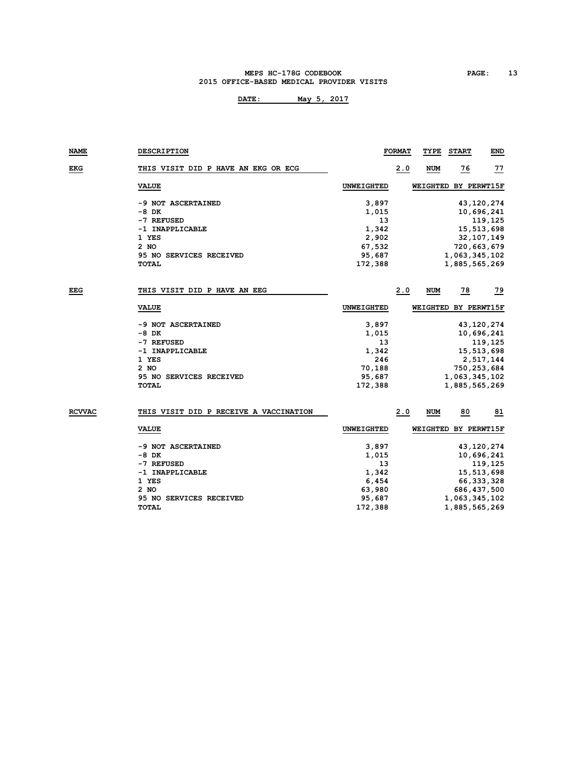#### **MEPS HC-178G CODEBOOK PAGE: 13 2015 OFFICE-BASED MEDICAL PROVIDER VISITS**

| NAME          | <b>DESCRIPTION</b>                     |                   | <b>FORMAT</b> | TYPE       | <b>START</b>         | <b>END</b>     |
|---------------|----------------------------------------|-------------------|---------------|------------|----------------------|----------------|
| <b>EKG</b>    | THIS VISIT DID P HAVE AN EKG OR ECG    |                   | 2.0           | <b>NUM</b> | <u>76</u>            | 77             |
|               | <b>VALUE</b>                           | <b>UNWEIGHTED</b> |               |            | WEIGHTED BY PERWT15F |                |
|               | -9 NOT ASCERTAINED                     | 3,897             |               |            |                      | 43,120,274     |
|               | $-8$ DK                                | 1,015             |               |            |                      | 10,696,241     |
|               | -7 REFUSED                             | 13                |               |            |                      | 119,125        |
|               | -1 INAPPLICABLE                        | 1,342             |               |            |                      | 15,513,698     |
|               | 1 YES                                  | 2,902             |               |            |                      | 32,107,149     |
|               | 2 NO                                   | 67,532            |               |            |                      | 720,663,679    |
|               | 95 NO SERVICES RECEIVED                | 95,687            |               |            | 1,063,345,102        |                |
|               | TOTAL                                  | 172,388           |               |            | 1,885,565,269        |                |
| EEG           | THIS VISIT DID P HAVE AN EEG           |                   | 2.0           | NUM        | $\frac{78}{1}$       | $\frac{79}{2}$ |
|               | <b>VALUE</b>                           | <b>UNWEIGHTED</b> |               |            | WEIGHTED BY PERWT15F |                |
|               | -9 NOT ASCERTAINED                     | 3,897             |               |            |                      | 43,120,274     |
|               | -8 DK                                  | 1,015             |               |            |                      | 10,696,241     |
|               | -7 REFUSED                             | 13                |               |            |                      | 119,125        |
|               | -1 INAPPLICABLE                        | 1,342             |               |            |                      | 15,513,698     |
|               | 1 YES                                  | 246               |               |            |                      | 2,517,144      |
|               | $2$ NO                                 | 70,188            |               |            |                      | 750,253,684    |
|               | 95 NO SERVICES RECEIVED                | 95,687            |               |            | 1,063,345,102        |                |
|               | <b>TOTAL</b>                           | 172,388           |               |            | 1,885,565,269        |                |
| <b>RCVVAC</b> | THIS VISIT DID P RECEIVE A VACCINATION |                   | 2.0           | NUM        | 80                   | 81             |
|               |                                        |                   |               |            |                      |                |
|               | <b>VALUE</b>                           | <b>UNWEIGHTED</b> |               |            | WEIGHTED BY PERWT15F |                |
|               | -9 NOT ASCERTAINED                     | 3,897             |               |            |                      | 43,120,274     |
|               | -8 DK                                  | 1,015             |               |            |                      | 10,696,241     |
|               | -7 REFUSED                             | 13                |               |            |                      | 119,125        |
|               | -1 INAPPLICABLE                        | 1,342             |               |            |                      | 15,513,698     |
|               | 1 YES                                  | 6,454             |               |            |                      | 66, 333, 328   |
|               | 2 NO                                   | 63,980            |               |            |                      | 686,437,500    |
|               | <b>95 NO SERVICES RECEIVED</b>         | 95,687            |               |            | 1,063,345,102        |                |
|               | TOTAL                                  | 172,388           |               |            | 1,885,565,269        |                |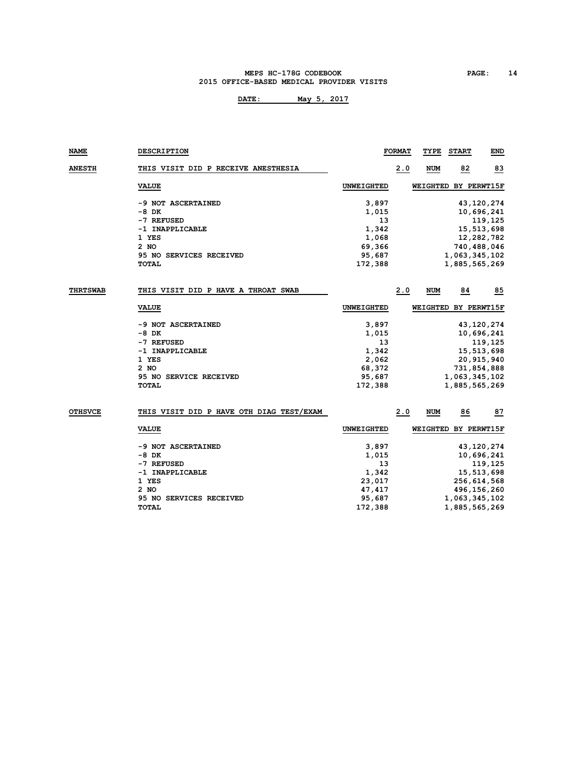#### **MEPS HC-178G CODEBOOK PAGE: 14 2015 OFFICE-BASED MEDICAL PROVIDER VISITS**

| <b>NAME</b>     | <b>DESCRIPTION</b>                       |                   | <b>FORMAT</b> | TYPE                 | <b>START</b>  | END          |
|-----------------|------------------------------------------|-------------------|---------------|----------------------|---------------|--------------|
| <b>ANESTH</b>   | THIS VISIT DID P RECEIVE ANESTHESIA      |                   | 2.0           | <b>NUM</b>           | 82            | 83           |
|                 | <b>VALUE</b>                             | <b>UNWEIGHTED</b> |               | WEIGHTED BY PERWT15F |               |              |
|                 | -9 NOT ASCERTAINED                       | 3,897             |               |                      |               | 43,120,274   |
|                 | -8 DK                                    | 1,015             |               |                      |               | 10,696,241   |
|                 | -7 REFUSED                               | 13                |               |                      |               | 119,125      |
|                 | -1 INAPPLICABLE                          | 1,342             |               |                      |               | 15,513,698   |
|                 | 1 YES                                    | 1,068             |               |                      |               | 12,282,782   |
|                 | 2 NO                                     | 69,366            |               |                      | 740,488,046   |              |
|                 | 95 NO SERVICES RECEIVED                  | 95,687            |               |                      | 1,063,345,102 |              |
|                 | <b>TOTAL</b>                             | 172,388           |               |                      | 1,885,565,269 |              |
|                 |                                          |                   |               |                      |               |              |
| <b>THRTSWAB</b> | THIS VISIT DID P HAVE A THROAT SWAB      |                   | 2.0           | NUM                  | 84            | 85           |
|                 | <b>VALUE</b>                             | <b>UNWEIGHTED</b> |               | WEIGHTED BY PERWT15F |               |              |
|                 | -9 NOT ASCERTAINED                       | 3,897             |               |                      |               | 43, 120, 274 |
|                 | -8 DK                                    | 1,015             |               |                      |               | 10,696,241   |
|                 | -7 REFUSED                               | 13                |               |                      |               | 119,125      |
|                 | -1 INAPPLICABLE                          | 1,342             |               |                      |               | 15,513,698   |
|                 | 1 YES                                    | 2,062             |               |                      |               | 20,915,940   |
|                 | 2 NO                                     | 68,372            |               |                      | 731,854,888   |              |
|                 | 95 NO SERVICE RECEIVED                   | 95,687            |               |                      | 1,063,345,102 |              |
|                 | <b>TOTAL</b>                             | 172,388           |               |                      | 1,885,565,269 |              |
|                 |                                          |                   |               |                      |               |              |
| <b>OTHSVCE</b>  | THIS VISIT DID P HAVE OTH DIAG TEST/EXAM |                   | 2.0           | NUM                  | 86            | 87           |
|                 | <b>VALUE</b>                             | <b>UNWEIGHTED</b> |               | WEIGHTED BY PERWT15F |               |              |
|                 | -9 NOT ASCERTAINED                       | 3,897             |               |                      |               | 43,120,274   |
|                 | -8 DK                                    | 1,015             |               |                      |               | 10,696,241   |
|                 | -7 REFUSED                               | 13                |               |                      |               | 119,125      |
|                 | -1 INAPPLICABLE                          | 1,342             |               |                      |               | 15,513,698   |
|                 | 1 YES                                    | 23,017            |               |                      | 256,614,568   |              |
|                 | 2 NO                                     | 47,417            |               |                      | 496,156,260   |              |
|                 | 95 NO SERVICES RECEIVED                  | 95,687            |               |                      | 1,063,345,102 |              |
|                 | <b>TOTAL</b>                             | 172,388           |               |                      | 1,885,565,269 |              |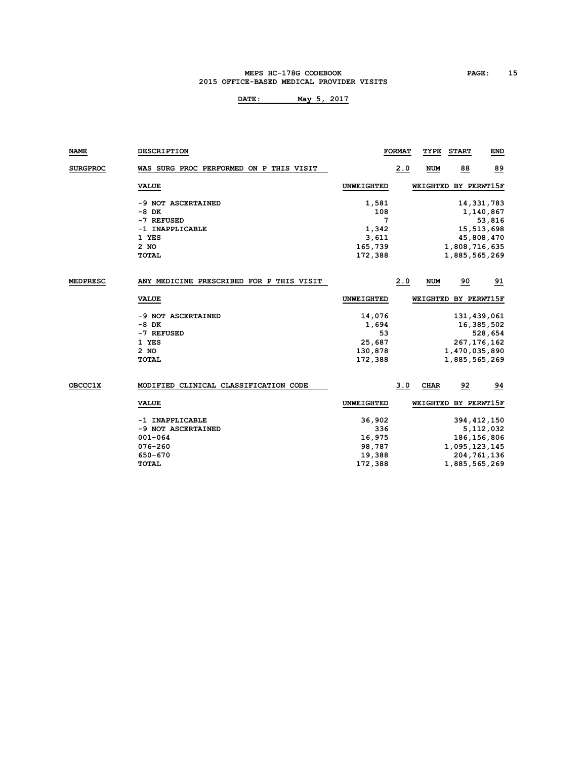#### **MEPS HC-178G CODEBOOK PAGE: 15 2015 OFFICE-BASED MEDICAL PROVIDER VISITS**

| NAME            | <b>DESCRIPTION</b>                       |                   | <b>FORMAT</b> | TYPE        | <b>START</b>         | END        |
|-----------------|------------------------------------------|-------------------|---------------|-------------|----------------------|------------|
| <b>SURGPROC</b> | WAS SURG PROC PERFORMED ON P THIS VISIT  |                   | 2.0           | <b>NUM</b>  | 88                   | 89         |
|                 | <b>VALUE</b>                             | <b>UNWEIGHTED</b> |               |             | WEIGHTED BY PERWT15F |            |
|                 | -9 NOT ASCERTAINED                       | 1,581             |               |             |                      | 14,331,783 |
|                 | $-8$ DK                                  | 108               |               |             |                      | 1,140,867  |
|                 | -7 REFUSED                               | 7                 |               |             |                      | 53,816     |
|                 | -1 INAPPLICABLE                          | 1,342             |               |             |                      | 15,513,698 |
|                 | 1 YES                                    | 3,611             |               |             |                      | 45,808,470 |
|                 | 2 NO                                     | 165,739           |               |             | 1,808,716,635        |            |
|                 | TOTAL                                    | 172,388           |               |             | 1,885,565,269        |            |
| <b>MEDPRESC</b> | ANY MEDICINE PRESCRIBED FOR P THIS VISIT |                   | 2.0           | <b>NUM</b>  | 90                   | 91         |
|                 | <b>VALUE</b>                             | UNWEIGHTED        |               |             | WEIGHTED BY PERWT15F |            |
|                 | -9 NOT ASCERTAINED                       | 14,076            |               |             | 131,439,061          |            |
|                 | $-8$ DK                                  | 1,694             |               |             |                      | 16,385,502 |
|                 | -7 REFUSED                               | 53                |               |             |                      | 528,654    |
|                 | 1 YES                                    | 25,687            |               |             | 267, 176, 162        |            |
|                 | $2$ NO                                   | 130,878           |               |             | 1,470,035,890        |            |
|                 | TOTAL                                    | 172,388           |               |             | 1,885,565,269        |            |
| OBCCC1X         | MODIFIED CLINICAL CLASSIFICATION CODE    |                   | 3.0           | <b>CHAR</b> | 92                   | 94         |
|                 | <b>VALUE</b>                             | UNWEIGHTED        |               |             | WEIGHTED BY PERWT15F |            |
|                 | -1 INAPPLICABLE                          | 36,902            |               |             | 394, 412, 150        |            |
|                 | -9 NOT ASCERTAINED                       | 336               |               |             |                      | 5,112,032  |
|                 | $001 - 064$                              | 16,975            |               |             | 186, 156, 806        |            |
|                 | 076-260                                  | 98,787            |               |             | 1,095,123,145        |            |
|                 | 650-670                                  | 19,388            |               |             | 204, 761, 136        |            |
|                 | <b>TOTAL</b>                             | 172,388           |               |             | 1,885,565,269        |            |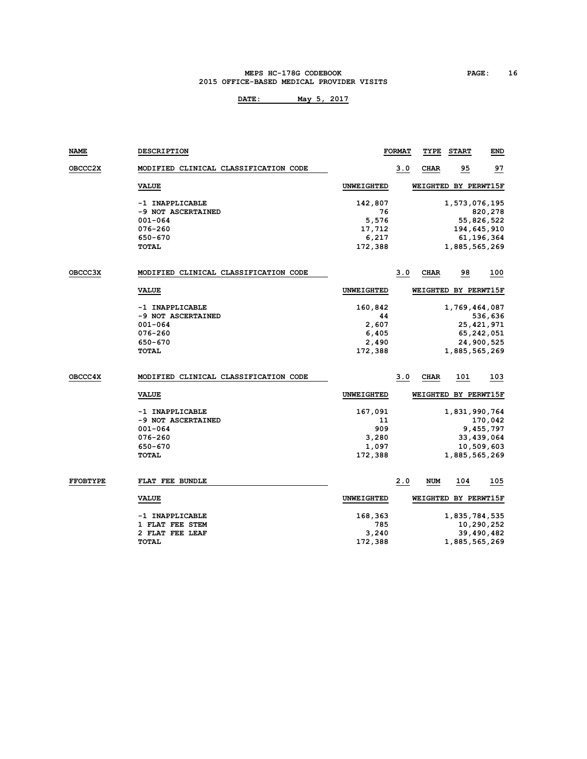#### **MEPS HC-178G CODEBOOK PAGE: 16 2015 OFFICE-BASED MEDICAL PROVIDER VISITS**

| NAME            | <b>DESCRIPTION</b>                    |                   | <b>FORMAT</b> | TYPE        | <b>START</b>         | <b>END</b>   |
|-----------------|---------------------------------------|-------------------|---------------|-------------|----------------------|--------------|
| <b>OBCCC2X</b>  | MODIFIED CLINICAL CLASSIFICATION CODE |                   | 3.0           | <b>CHAR</b> | 95                   | 97           |
|                 | <b>VALUE</b>                          | <b>UNWEIGHTED</b> |               |             | WEIGHTED BY PERWT15F |              |
|                 | -1 INAPPLICABLE                       | 142,807           |               |             | 1,573,076,195        |              |
|                 | -9 NOT ASCERTAINED                    | 76                |               |             |                      | 820,278      |
|                 | 001-064                               | 5,576             |               |             |                      | 55,826,522   |
|                 | 076-260                               | 17,712            |               |             |                      | 194,645,910  |
|                 | 650-670                               | 6,217             |               |             |                      | 61,196,364   |
|                 | <b>TOTAL</b>                          | 172,388           |               |             | 1,885,565,269        |              |
| <b>OBCCC3X</b>  | MODIFIED CLINICAL CLASSIFICATION CODE |                   | 3.0           | CHAR        | 98                   | 100          |
|                 | <b>VALUE</b>                          | <b>UNWEIGHTED</b> |               |             | WEIGHTED BY PERWT15F |              |
|                 | -1 INAPPLICABLE                       | 160,842           |               |             | 1,769,464,087        |              |
|                 | -9 NOT ASCERTAINED                    | 44                |               |             |                      | 536,636      |
|                 | $001 - 064$                           | 2,607             |               |             |                      | 25, 421, 971 |
|                 | 076-260                               | 6,405             |               |             |                      | 65, 242, 051 |
|                 | 650-670                               | 2,490             |               |             |                      | 24,900,525   |
|                 | TOTAL                                 | 172,388           |               |             | 1,885,565,269        |              |
| <b>OBCCC4X</b>  | MODIFIED CLINICAL CLASSIFICATION CODE |                   | 3.0           | <b>CHAR</b> | 101                  | 103          |
|                 | <b>VALUE</b>                          | <b>UNWEIGHTED</b> |               |             | WEIGHTED BY PERWT15F |              |
|                 | -1 INAPPLICABLE                       | 167,091           |               |             | 1,831,990,764        |              |
|                 | -9 NOT ASCERTAINED                    | 11                |               |             |                      | 170,042      |
|                 | $001 - 064$                           | 909               |               |             |                      | 9,455,797    |
|                 | 076-260                               | 3,280             |               |             |                      | 33,439,064   |
|                 | 650-670                               | 1,097             |               |             |                      | 10,509,603   |
|                 | <b>TOTAL</b>                          | 172,388           |               |             | 1,885,565,269        |              |
| <b>FFOBTYPE</b> | FLAT FEE BUNDLE                       |                   | 2.0           | NUM         | 104                  | 105          |
|                 | <b>VALUE</b>                          | <b>UNWEIGHTED</b> |               |             | WEIGHTED BY PERWT15F |              |
|                 | -1 INAPPLICABLE                       | 168,363           |               |             | 1,835,784,535        |              |
|                 | 1 FLAT FEE STEM                       | 785               |               |             |                      | 10,290,252   |
|                 | 2 FLAT FEE LEAF                       | 3,240             |               |             |                      | 39,490,482   |
|                 | <b>TOTAL</b>                          | 172,388           |               |             | 1,885,565,269        |              |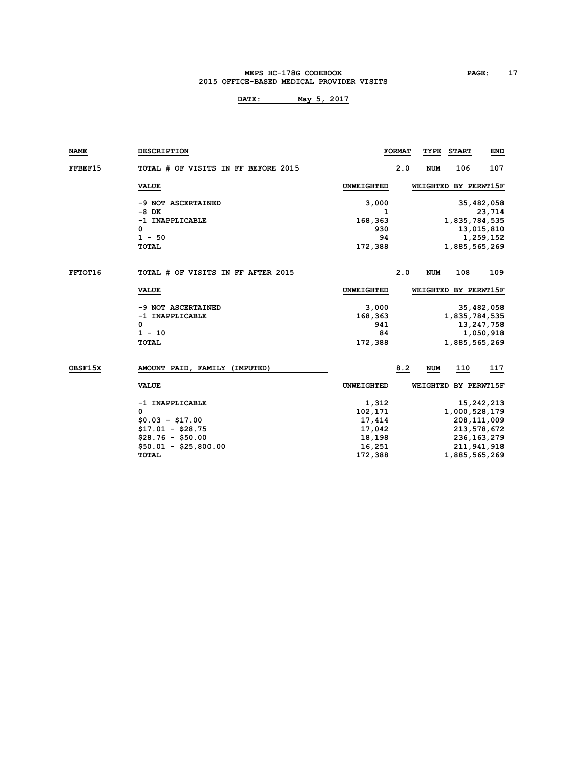#### **MEPS HC-178G CODEBOOK PAGE: 17 2015 OFFICE-BASED MEDICAL PROVIDER VISITS**

| NAME    | <b>DESCRIPTION</b>                  |                   | <b>FORMAT</b> | TYPE       | <b>START</b>         | END           |
|---------|-------------------------------------|-------------------|---------------|------------|----------------------|---------------|
| FFBEF15 | TOTAL # OF VISITS IN FF BEFORE 2015 |                   | 2.0           | <b>NUM</b> | 106                  | 107           |
|         | <b>VALUE</b>                        | <b>UNWEIGHTED</b> |               |            | WEIGHTED BY PERWT15F |               |
|         | -9 NOT ASCERTAINED                  | 3,000             |               |            |                      | 35,482,058    |
|         | $-8$ DK                             | 1                 |               |            |                      | 23,714        |
|         | -1 INAPPLICABLE                     | 168,363           |               |            | 1,835,784,535        |               |
|         | 0                                   | 930               |               |            |                      | 13,015,810    |
|         | $1 - 50$                            | 94                |               |            |                      | 1,259,152     |
|         | <b>TOTAL</b>                        | 172,388           |               |            | 1,885,565,269        |               |
|         |                                     |                   |               |            |                      |               |
| FFTOT16 | TOTAL # OF VISITS IN FF AFTER 2015  |                   | 2.0           | <b>NUM</b> | 108                  | 109           |
|         | <b>VALUE</b>                        | UNWEIGHTED        |               |            | WEIGHTED BY PERWT15F |               |
|         | -9 NOT ASCERTAINED                  | 3,000             |               |            |                      | 35,482,058    |
|         | -1 INAPPLICABLE                     | 168,363           |               |            | 1,835,784,535        |               |
|         | 0                                   | 941               |               |            |                      | 13, 247, 758  |
|         | $1 - 10$                            | 84                |               |            |                      | 1,050,918     |
|         | <b>TOTAL</b>                        | 172,388           |               |            | 1,885,565,269        |               |
|         |                                     |                   |               |            |                      |               |
| OBSF15X | AMOUNT PAID, FAMILY (IMPUTED)       |                   | 8.2           | <b>NUM</b> | 110                  | 117           |
|         | <b>VALUE</b>                        | <b>UNWEIGHTED</b> |               |            | WEIGHTED BY PERWT15F |               |
|         | -1 INAPPLICABLE                     | 1,312             |               |            |                      | 15,242,213    |
|         | 0                                   | 102,171           |               |            | 1,000,528,179        |               |
|         | $$0.03 - $17.00$                    | 17,414            |               |            | 208,111,009          |               |
|         | $$17.01 - $28.75$                   | 17,042            |               |            | 213,578,672          |               |
|         | $$28.76 - $50.00$                   | 18,198            |               |            |                      | 236, 163, 279 |
|         | $$50.01 - $25,800.00$               | 16,251            |               |            | 211,941,918          |               |
|         | <b>TOTAL</b>                        | 172,388           |               |            | 1,885,565,269        |               |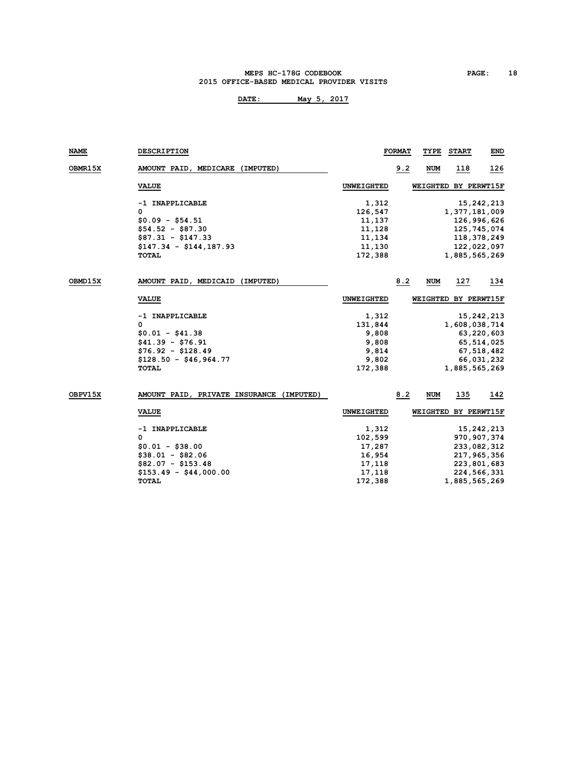#### **MEPS HC-178G CODEBOOK PAGE: 18 2015 OFFICE-BASED MEDICAL PROVIDER VISITS**

| NAME           | <b>DESCRIPTION</b>                       |                   | <b>FORMAT</b> | TYPE       | <b>START</b>         | END           |
|----------------|------------------------------------------|-------------------|---------------|------------|----------------------|---------------|
| <b>OBMR15X</b> | AMOUNT PAID, MEDICARE (IMPUTED)          |                   | 9.2           | NUM        | 118                  | 126           |
|                | <b>VALUE</b>                             | <b>UNWEIGHTED</b> |               |            | WEIGHTED BY PERWT15F |               |
|                | -1 INAPPLICABLE                          | 1,312             |               |            |                      | 15,242,213    |
|                | 0                                        | 126,547           |               |            | 1,377,181,009        |               |
|                | $$0.09 - $54.51$                         | 11,137            |               |            |                      | 126,996,626   |
|                | $$54.52 - $87.30$                        | 11,128            |               |            |                      | 125,745,074   |
|                | $$87.31 - $147.33$                       | 11,134            |               |            |                      | 118, 378, 249 |
|                | $$147.34 - $144,187.93$                  | 11,130            |               |            |                      | 122,022,097   |
|                | <b>TOTAL</b>                             | 172,388           |               |            | 1,885,565,269        |               |
|                |                                          |                   |               |            |                      |               |
| OBMD15X        | AMOUNT PAID, MEDICAID (IMPUTED)          |                   | 8.2           | <b>NUM</b> | 127                  | 134           |
|                | <b>VALUE</b>                             | <b>UNWEIGHTED</b> |               |            | WEIGHTED BY PERWT15F |               |
|                | -1 INAPPLICABLE                          | 1,312             |               |            |                      | 15,242,213    |
|                | 0                                        | 131,844           |               |            | 1,608,038,714        |               |
|                | $$0.01 - $41.38$                         | 9,808             |               |            |                      | 63,220,603    |
|                | $$41.39 - $76.91$                        | 9,808             |               |            |                      | 65, 514, 025  |
|                | $$76.92 - $128.49$                       | 9,814             |               |            |                      | 67,518,482    |
|                | $$128.50 - $46,964.77$                   | 9,802             |               |            |                      | 66,031,232    |
|                | <b>TOTAL</b>                             | 172,388           |               |            | 1,885,565,269        |               |
|                |                                          |                   |               |            |                      |               |
| OBPV15X        | AMOUNT PAID, PRIVATE INSURANCE (IMPUTED) |                   | 8.2           | NUM        | 135                  | 142           |
|                | <b>VALUE</b>                             | <b>UNWEIGHTED</b> |               |            | WEIGHTED BY PERWT15F |               |
|                | -1 INAPPLICABLE                          | 1,312             |               |            |                      | 15, 242, 213  |
|                | 0                                        | 102,599           |               |            |                      | 970, 907, 374 |
|                | $$0.01 - $38.00$                         | 17,287            |               |            |                      | 233,082,312   |
|                | $$38.01 - $82.06$                        | 16,954            |               |            |                      | 217,965,356   |
|                | $$82.07 - $153.48$                       | 17,118            |               |            |                      | 223,801,683   |
|                | $$153.49 - $44,000.00$                   | 17,118            |               |            |                      | 224,566,331   |
|                | <b>TOTAL</b>                             | 172,388           |               |            | 1,885,565,269        |               |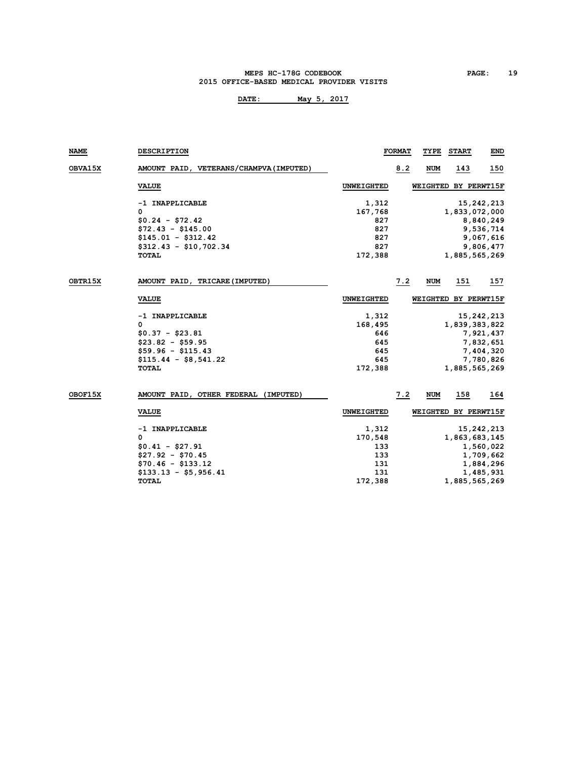#### **MEPS HC-178G CODEBOOK PAGE: 19 2015 OFFICE-BASED MEDICAL PROVIDER VISITS**

| <b>NAME</b> | <b>DESCRIPTION</b>                      |                   | <b>FORMAT</b> | TYPE       | <b>START</b>         | END          |
|-------------|-----------------------------------------|-------------------|---------------|------------|----------------------|--------------|
| OBVA15X     | AMOUNT PAID, VETERANS/CHAMPVA (IMPUTED) |                   | 8.2           | <b>NUM</b> | 143                  | 150          |
|             | <b>VALUE</b>                            | <b>UNWEIGHTED</b> |               |            | WEIGHTED BY PERWT15F |              |
|             | -1 INAPPLICABLE                         | 1,312             |               |            |                      | 15, 242, 213 |
|             | 0                                       | 167,768           |               |            | 1,833,072,000        |              |
|             | $$0.24 - $72.42$                        | 827               |               |            |                      | 8,840,249    |
|             | $$72.43 - $145.00$                      | 827               |               |            |                      | 9,536,714    |
|             | $$145.01 - $312.42$                     | 827               |               |            |                      | 9,067,616    |
|             | $$312.43 - $10,702.34$                  | 827               |               |            |                      | 9,806,477    |
|             | <b>TOTAL</b>                            | 172,388           |               |            | 1,885,565,269        |              |
| OBTR15X     | AMOUNT PAID, TRICARE (IMPUTED)          |                   | 7.2           | <b>NUM</b> | 151                  | 157          |
|             | <b>VALUE</b>                            | UNWEIGHTED        |               |            | WEIGHTED BY PERWT15F |              |
|             | -1 INAPPLICABLE                         | 1,312             |               |            |                      | 15,242,213   |
|             | 0                                       | 168,495           |               |            | 1,839,383,822        |              |
|             | $$0.37 - $23.81$                        | 646               |               |            |                      | 7,921,437    |
|             | $$23.82 - $59.95$                       | 645               |               |            |                      | 7,832,651    |
|             | $$59.96 - $115.43$                      | 645               |               |            |                      | 7,404,320    |
|             | $$115.44 - $8,541.22$                   | 645               |               |            |                      | 7,780,826    |
|             | <b>TOTAL</b>                            | 172,388           |               |            | 1,885,565,269        |              |
| OBOF15X     | AMOUNT PAID, OTHER FEDERAL (IMPUTED)    |                   | 7.2           | <b>NUM</b> | 158                  | 164          |
|             | <b>VALUE</b>                            | <b>UNWEIGHTED</b> |               |            | WEIGHTED BY PERWT15F |              |
|             | -1 INAPPLICABLE                         | 1,312             |               |            |                      | 15,242,213   |
|             | 0                                       | 170,548           |               |            | 1,863,683,145        |              |
|             | $$0.41 - $27.91$                        | 133               |               |            |                      | 1,560,022    |
|             | $$27.92 - $70.45$                       | 133               |               |            |                      | 1,709,662    |
|             | $$70.46 - $133.12$                      | 131               |               |            |                      | 1,884,296    |
|             | $$133.13 - $5,956.41$                   | 131               |               |            |                      | 1,485,931    |
|             | <b>TOTAL</b>                            | 172,388           |               |            | 1,885,565,269        |              |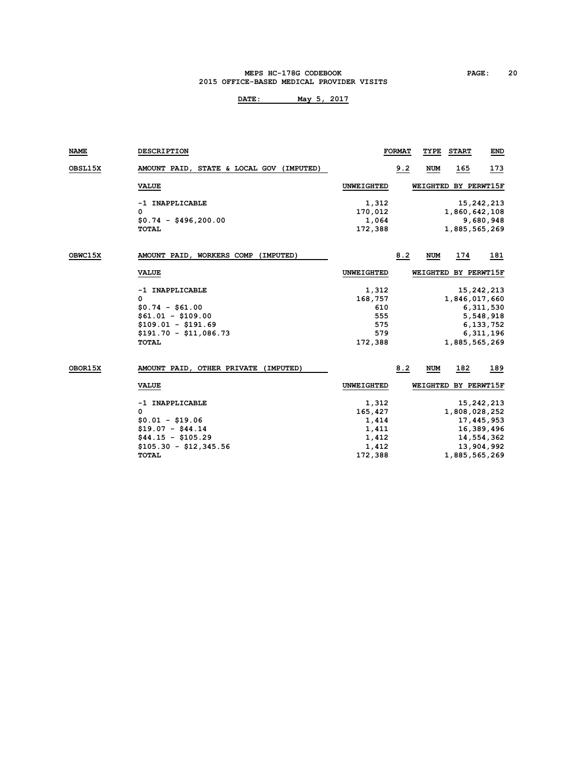#### **MEPS HC-178G CODEBOOK PAGE: 20 2015 OFFICE-BASED MEDICAL PROVIDER VISITS**

| <b>NAME</b> | <b>DESCRIPTION</b>                       |            | <b>FORMAT</b> | TYPE                 | <b>START</b>  | END        |
|-------------|------------------------------------------|------------|---------------|----------------------|---------------|------------|
| OBSL15X     | AMOUNT PAID, STATE & LOCAL GOV (IMPUTED) |            | 9.2           | <b>NUM</b>           | 165           | 173        |
|             | <b>VALUE</b>                             | UNWEIGHTED |               | WEIGHTED BY PERWT15F |               |            |
|             | -1 INAPPLICABLE                          | 1,312      |               |                      |               | 15,242,213 |
|             | 0                                        | 170,012    |               |                      | 1,860,642,108 |            |
|             | $$0.74 - $496,200.00$                    | 1,064      |               |                      |               | 9,680,948  |
|             | <b>TOTAL</b>                             | 172,388    |               |                      | 1,885,565,269 |            |
| OBWC15X     | AMOUNT PAID, WORKERS COMP (IMPUTED)      |            | 8.2           | <b>NUM</b>           | 174           | 181        |
|             | <b>VALUE</b>                             | UNWEIGHTED |               | WEIGHTED BY PERWT15F |               |            |
|             | -1 INAPPLICABLE                          | 1,312      |               |                      |               | 15,242,213 |
|             | 0                                        | 168,757    |               |                      | 1,846,017,660 |            |
|             | $$0.74 - $61.00$                         | 610        |               |                      |               | 6,311,530  |
|             | $$61.01 - $109.00$                       | 555        |               |                      |               | 5,548,918  |
|             | $$109.01 - $191.69$                      | 575        |               |                      |               | 6,133,752  |
|             | $$191.70 - $11.086.73$                   | 579        |               |                      |               | 6,311,196  |
|             | <b>TOTAL</b>                             | 172,388    |               |                      | 1,885,565,269 |            |
| OBOR15X     | AMOUNT PAID, OTHER PRIVATE (IMPUTED)     |            | 8.2           | <b>NUM</b>           | 182           | 189        |
|             | <b>VALUE</b>                             | UNWEIGHTED |               | WEIGHTED BY PERWT15F |               |            |
|             | -1 INAPPLICABLE                          | 1,312      |               |                      |               | 15,242,213 |
|             | 0                                        | 165,427    |               |                      | 1,808,028,252 |            |
|             | $$0.01 - $19.06$                         | 1,414      |               |                      |               | 17,445,953 |
|             | $$19.07 - $44.14$                        | 1,411      |               |                      |               | 16,389,496 |
|             | $$44.15 - $105.29$                       | 1,412      |               |                      |               | 14,554,362 |
|             | $$105.30 - $12.345.56$                   | 1,412      |               |                      |               | 13,904,992 |
|             | <b>TOTAL</b>                             | 172,388    |               |                      | 1,885,565,269 |            |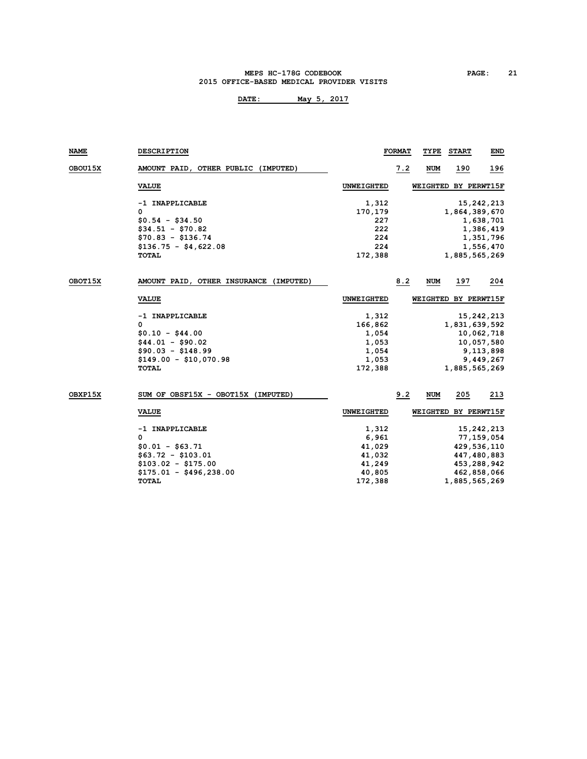#### **MEPS HC-178G CODEBOOK PAGE: 21 2015 OFFICE-BASED MEDICAL PROVIDER VISITS**

| NAME           | <b>DESCRIPTION</b>                     |                   | <b>FORMAT</b> | TYPE       | <b>START</b>         | END         |
|----------------|----------------------------------------|-------------------|---------------|------------|----------------------|-------------|
| <b>OBOU15X</b> | AMOUNT PAID, OTHER PUBLIC (IMPUTED)    |                   | 7.2           | NUM        | 190                  | 196         |
|                | <b>VALUE</b>                           | <b>UNWEIGHTED</b> |               |            | WEIGHTED BY PERWT15F |             |
|                | -1 INAPPLICABLE                        | 1,312             |               |            |                      | 15,242,213  |
|                | 0                                      | 170,179           |               |            | 1,864,389,670        |             |
|                | $$0.54 - $34.50$                       | 227               |               |            |                      | 1,638,701   |
|                | $$34.51 - $70.82$                      | 222               |               |            |                      | 1,386,419   |
|                | $$70.83 - $136.74$                     | 224               |               |            |                      | 1,351,796   |
|                | $$136.75 - $4,622.08$                  | 224               |               |            |                      | 1,556,470   |
|                | TOTAL                                  | 172,388           |               |            | 1,885,565,269        |             |
| OBOT15X        | AMOUNT PAID, OTHER INSURANCE (IMPUTED) |                   | 8.2           | <b>NUM</b> | 197                  | 204         |
|                | <b>VALUE</b>                           | <b>UNWEIGHTED</b> |               |            | WEIGHTED BY PERWT15F |             |
|                | -1 INAPPLICABLE                        | 1,312             |               |            |                      | 15,242,213  |
|                | 0                                      | 166,862           |               |            | 1,831,639,592        |             |
|                | $$0.10 - $44.00$                       | 1,054             |               |            |                      | 10,062,718  |
|                | $$44.01 - $90.02$                      | 1,053             |               |            |                      | 10,057,580  |
|                | $$90.03 - $148.99$                     | 1,054             |               |            |                      | 9,113,898   |
|                | $$149.00 - $10.070.98$                 | 1,053             |               |            |                      | 9,449,267   |
|                | <b>TOTAL</b>                           | 172,388           |               |            | 1,885,565,269        |             |
| OBXP15X        | SUM OF OBSF15X - OBOT15X (IMPUTED)     |                   | 9.2           | <b>NUM</b> | 205                  | 213         |
|                | <b>VALUE</b>                           | <b>UNWEIGHTED</b> |               |            | WEIGHTED BY PERWT15F |             |
|                | -1 INAPPLICABLE                        | 1,312             |               |            |                      | 15,242,213  |
|                | 0                                      | 6,961             |               |            |                      | 77,159,054  |
|                | $$0.01 - $63.71$                       | 41,029            |               |            |                      | 429,536,110 |
|                | $$63.72 - $103.01$                     | 41,032            |               |            |                      | 447,480,883 |
|                | $$103.02 - $175.00$                    | 41,249            |               |            |                      | 453,288,942 |
|                | $$175.01 - $496,238.00$                | 40,805            |               |            |                      | 462,858,066 |
|                | <b>TOTAL</b>                           | 172,388           |               |            | 1,885,565,269        |             |
|                |                                        |                   |               |            |                      |             |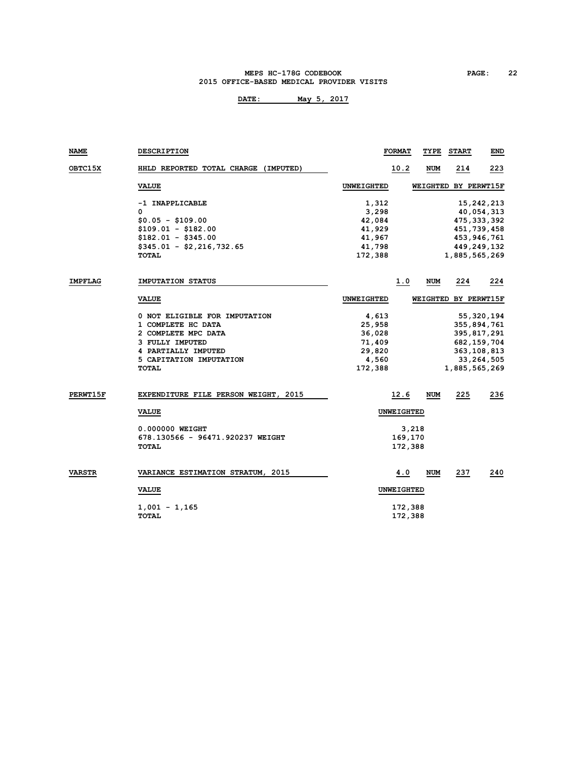#### **MEPS HC-178G CODEBOOK PAGE: 22 2015 OFFICE-BASED MEDICAL PROVIDER VISITS**

| NAME            | <b>DESCRIPTION</b>                          | <b>FORMAT</b>     | TYPE       | <b>START</b>         | END           |
|-----------------|---------------------------------------------|-------------------|------------|----------------------|---------------|
| <b>OBTC15X</b>  | HHLD REPORTED TOTAL CHARGE (IMPUTED)        | 10.2              | <b>NUM</b> | 214                  | 223           |
|                 | <b>VALUE</b>                                | <b>UNWEIGHTED</b> |            | WEIGHTED BY PERWT15F |               |
|                 | -1 INAPPLICABLE                             | 1,312             |            |                      | 15, 242, 213  |
|                 | $\mathbf 0$                                 | 3,298             |            |                      | 40,054,313    |
|                 | $$0.05 - $109.00$                           | 42,084            |            |                      | 475, 333, 392 |
|                 | $$109.01 - $182.00$                         | 41,929            |            |                      | 451,739,458   |
|                 | $$182.01 - $345.00$                         | 41,967            |            |                      | 453,946,761   |
|                 | $$345.01 - $2,216,732.65$                   | 41,798            |            |                      | 449,249,132   |
|                 | TOTAL                                       | 172,388           |            | 1,885,565,269        |               |
| <b>IMPFLAG</b>  | <b>IMPUTATION STATUS</b>                    | 1.0               | <b>NUM</b> | 224                  | 224           |
|                 | <b>VALUE</b>                                | <b>UNWEIGHTED</b> |            | WEIGHTED BY PERWT15F |               |
|                 | 0 NOT ELIGIBLE FOR IMPUTATION               | 4,613             |            |                      | 55,320,194    |
|                 | 1 COMPLETE HC DATA                          | 25,958            |            |                      | 355,894,761   |
|                 | 2 COMPLETE MPC DATA                         | 36,028            |            |                      | 395,817,291   |
|                 | 3 FULLY IMPUTED                             | 71,409            |            |                      | 682, 159, 704 |
|                 | 4 PARTIALLY IMPUTED                         | 29,820            |            |                      | 363, 108, 813 |
|                 | 5 CAPITATION IMPUTATION                     | 4,560             |            |                      | 33, 264, 505  |
|                 | <b>TOTAL</b>                                | 172,388           |            | 1,885,565,269        |               |
| <b>PERWT15F</b> | <b>EXPENDITURE FILE PERSON WEIGHT, 2015</b> | 12.6              | <b>NUM</b> | 225                  | 236           |
|                 | <b>VALUE</b>                                | <b>UNWEIGHTED</b> |            |                      |               |
|                 |                                             |                   |            |                      |               |
|                 | 0.000000 WEIGHT                             |                   | 3,218      |                      |               |
|                 | 678.130566 - 96471.920237 WEIGHT            | 169,170           |            |                      |               |
|                 | <b>TOTAL</b>                                | 172,388           |            |                      |               |
| VARSTR          | VARIANCE ESTIMATION STRATUM, 2015           | 4.0               | <b>NUM</b> | 237                  | 240           |
|                 | <b>VALUE</b>                                | <b>UNWEIGHTED</b> |            |                      |               |
|                 | $1,001 - 1,165$                             | 172,388           |            |                      |               |
|                 | <b>TOTAL</b>                                | 172,388           |            |                      |               |
|                 |                                             |                   |            |                      |               |